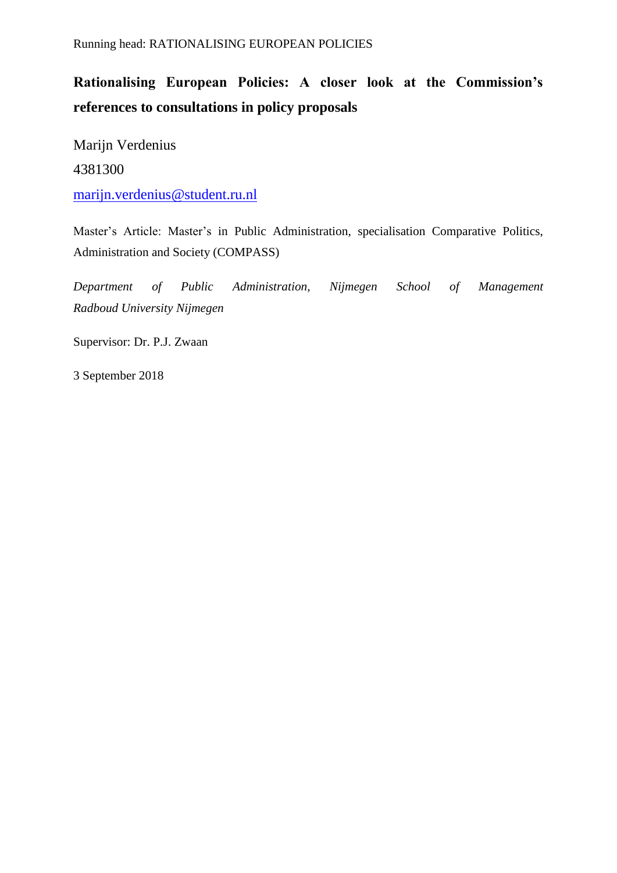# **Rationalising European Policies: A closer look at the Commission's references to consultations in policy proposals**

Marijn Verdenius 4381300 [marijn.verdenius@student.ru.nl](mailto:marijn.verdenius@student.ru.nl)

Master's Article: Master's in Public Administration, specialisation Comparative Politics, Administration and Society (COMPASS)

*Department of Public Administration, Nijmegen School of Management Radboud University Nijmegen*

Supervisor: Dr. P.J. Zwaan

3 September 2018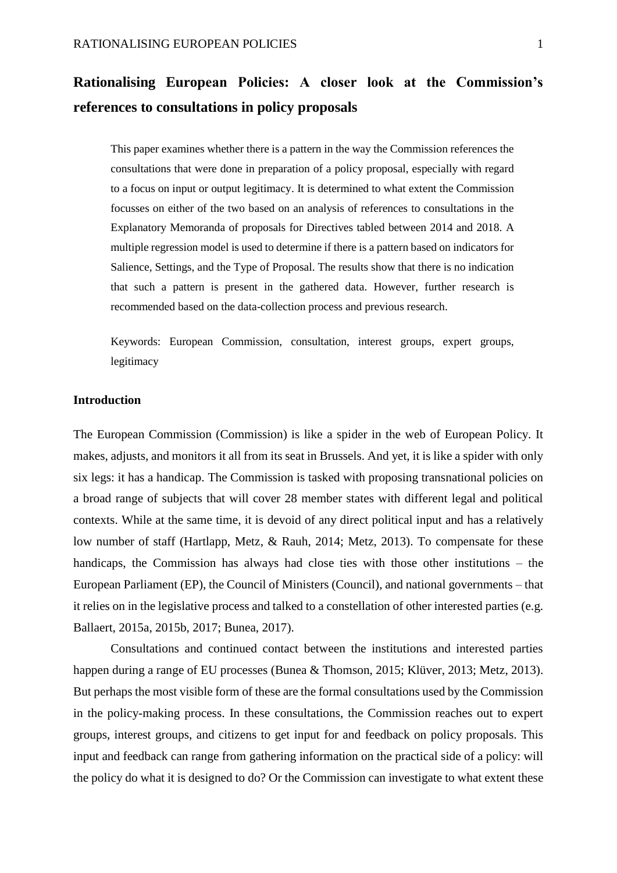# **Rationalising European Policies: A closer look at the Commission's references to consultations in policy proposals**

This paper examines whether there is a pattern in the way the Commission references the consultations that were done in preparation of a policy proposal, especially with regard to a focus on input or output legitimacy. It is determined to what extent the Commission focusses on either of the two based on an analysis of references to consultations in the Explanatory Memoranda of proposals for Directives tabled between 2014 and 2018. A multiple regression model is used to determine if there is a pattern based on indicators for Salience, Settings, and the Type of Proposal. The results show that there is no indication that such a pattern is present in the gathered data. However, further research is recommended based on the data-collection process and previous research.

Keywords: European Commission, consultation, interest groups, expert groups, legitimacy

#### **Introduction**

The European Commission (Commission) is like a spider in the web of European Policy. It makes, adjusts, and monitors it all from its seat in Brussels. And yet, it is like a spider with only six legs: it has a handicap. The Commission is tasked with proposing transnational policies on a broad range of subjects that will cover 28 member states with different legal and political contexts. While at the same time, it is devoid of any direct political input and has a relatively low number of staff (Hartlapp, Metz, & Rauh, 2014; Metz, 2013). To compensate for these handicaps, the Commission has always had close ties with those other institutions – the European Parliament (EP), the Council of Ministers (Council), and national governments – that it relies on in the legislative process and talked to a constellation of other interested parties (e.g. Ballaert, 2015a, 2015b, 2017; Bunea, 2017).

Consultations and continued contact between the institutions and interested parties happen during a range of EU processes (Bunea & Thomson, 2015; Klüver, 2013; Metz, 2013). But perhaps the most visible form of these are the formal consultations used by the Commission in the policy-making process. In these consultations, the Commission reaches out to expert groups, interest groups, and citizens to get input for and feedback on policy proposals. This input and feedback can range from gathering information on the practical side of a policy: will the policy do what it is designed to do? Or the Commission can investigate to what extent these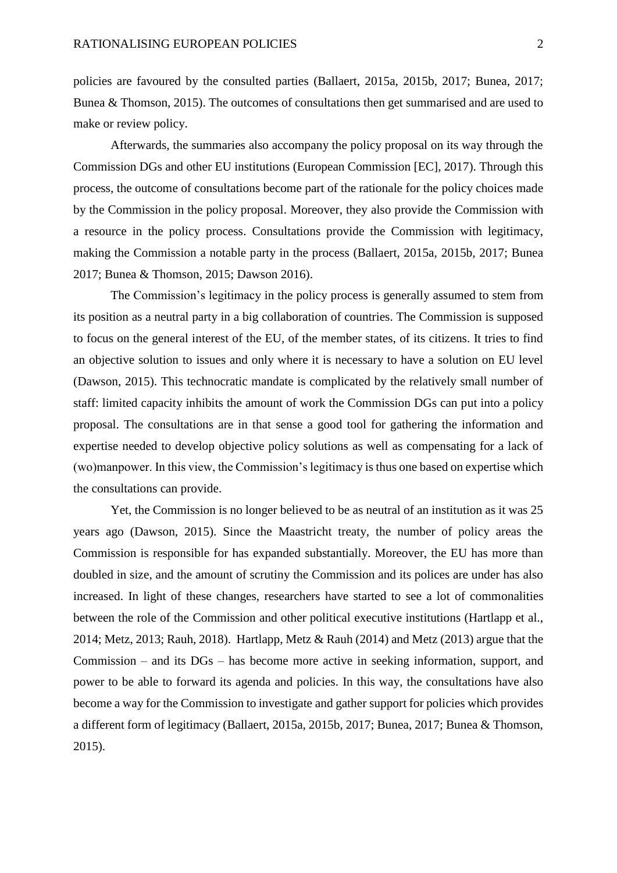policies are favoured by the consulted parties (Ballaert, 2015a, 2015b, 2017; Bunea, 2017; Bunea & Thomson, 2015). The outcomes of consultations then get summarised and are used to make or review policy.

Afterwards, the summaries also accompany the policy proposal on its way through the Commission DGs and other EU institutions (European Commission [EC], 2017). Through this process, the outcome of consultations become part of the rationale for the policy choices made by the Commission in the policy proposal. Moreover, they also provide the Commission with a resource in the policy process. Consultations provide the Commission with legitimacy, making the Commission a notable party in the process (Ballaert, 2015a, 2015b, 2017; Bunea 2017; Bunea & Thomson, 2015; Dawson 2016).

The Commission's legitimacy in the policy process is generally assumed to stem from its position as a neutral party in a big collaboration of countries. The Commission is supposed to focus on the general interest of the EU, of the member states, of its citizens. It tries to find an objective solution to issues and only where it is necessary to have a solution on EU level (Dawson, 2015). This technocratic mandate is complicated by the relatively small number of staff: limited capacity inhibits the amount of work the Commission DGs can put into a policy proposal. The consultations are in that sense a good tool for gathering the information and expertise needed to develop objective policy solutions as well as compensating for a lack of (wo)manpower. In this view, the Commission's legitimacy is thus one based on expertise which the consultations can provide.

Yet, the Commission is no longer believed to be as neutral of an institution as it was 25 years ago (Dawson, 2015). Since the Maastricht treaty, the number of policy areas the Commission is responsible for has expanded substantially. Moreover, the EU has more than doubled in size, and the amount of scrutiny the Commission and its polices are under has also increased. In light of these changes, researchers have started to see a lot of commonalities between the role of the Commission and other political executive institutions (Hartlapp et al., 2014; Metz, 2013; Rauh, 2018). Hartlapp, Metz & Rauh (2014) and Metz (2013) argue that the Commission – and its DGs – has become more active in seeking information, support, and power to be able to forward its agenda and policies. In this way, the consultations have also become a way for the Commission to investigate and gather support for policies which provides a different form of legitimacy (Ballaert, 2015a, 2015b, 2017; Bunea, 2017; Bunea & Thomson, 2015).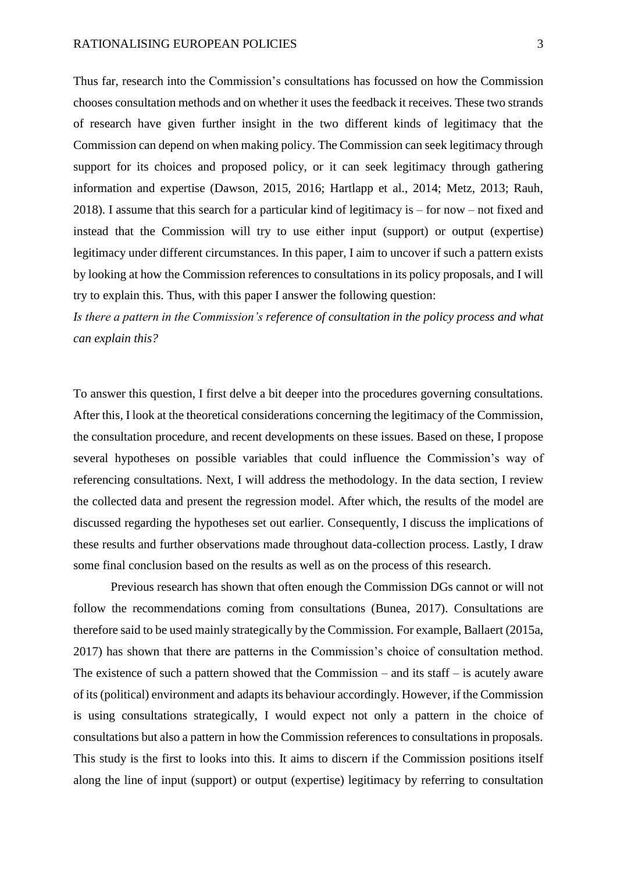Thus far, research into the Commission's consultations has focussed on how the Commission chooses consultation methods and on whether it uses the feedback it receives. These two strands of research have given further insight in the two different kinds of legitimacy that the Commission can depend on when making policy. The Commission can seek legitimacy through support for its choices and proposed policy, or it can seek legitimacy through gathering information and expertise (Dawson, 2015, 2016; Hartlapp et al., 2014; Metz, 2013; Rauh, 2018). I assume that this search for a particular kind of legitimacy is – for now – not fixed and instead that the Commission will try to use either input (support) or output (expertise) legitimacy under different circumstances. In this paper, I aim to uncover if such a pattern exists by looking at how the Commission references to consultations in its policy proposals, and I will try to explain this. Thus, with this paper I answer the following question:

*Is there a pattern in the Commission's reference of consultation in the policy process and what can explain this?* 

To answer this question, I first delve a bit deeper into the procedures governing consultations. After this, I look at the theoretical considerations concerning the legitimacy of the Commission, the consultation procedure, and recent developments on these issues. Based on these, I propose several hypotheses on possible variables that could influence the Commission's way of referencing consultations. Next, I will address the methodology. In the data section, I review the collected data and present the regression model. After which, the results of the model are discussed regarding the hypotheses set out earlier. Consequently, I discuss the implications of these results and further observations made throughout data-collection process. Lastly, I draw some final conclusion based on the results as well as on the process of this research.

Previous research has shown that often enough the Commission DGs cannot or will not follow the recommendations coming from consultations (Bunea, 2017). Consultations are therefore said to be used mainly strategically by the Commission. For example, Ballaert (2015a, 2017) has shown that there are patterns in the Commission's choice of consultation method. The existence of such a pattern showed that the Commission – and its staff – is acutely aware of its (political) environment and adapts its behaviour accordingly. However, if the Commission is using consultations strategically, I would expect not only a pattern in the choice of consultations but also a pattern in how the Commission references to consultations in proposals. This study is the first to looks into this. It aims to discern if the Commission positions itself along the line of input (support) or output (expertise) legitimacy by referring to consultation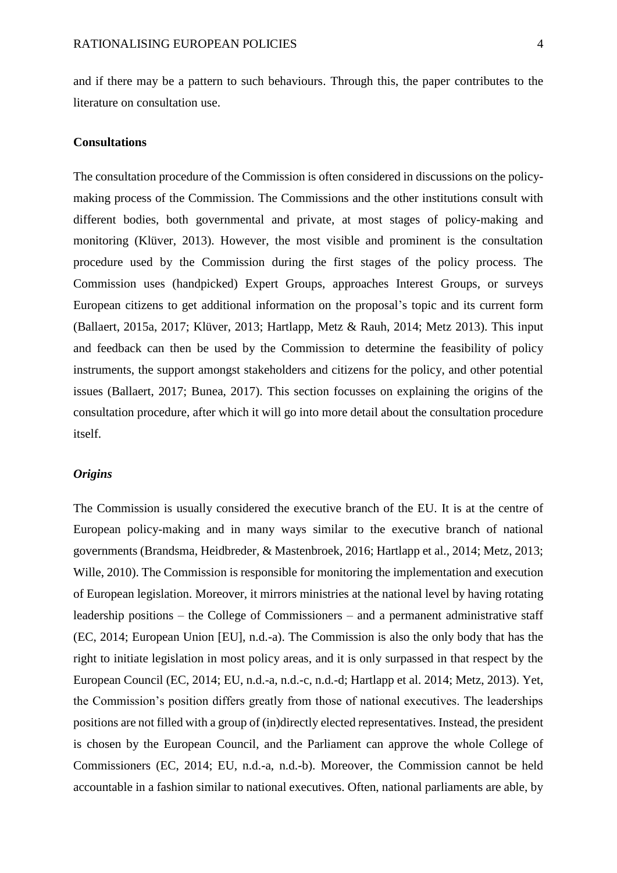and if there may be a pattern to such behaviours. Through this, the paper contributes to the literature on consultation use.

#### **Consultations**

The consultation procedure of the Commission is often considered in discussions on the policymaking process of the Commission. The Commissions and the other institutions consult with different bodies, both governmental and private, at most stages of policy-making and monitoring (Klüver, 2013). However, the most visible and prominent is the consultation procedure used by the Commission during the first stages of the policy process. The Commission uses (handpicked) Expert Groups, approaches Interest Groups, or surveys European citizens to get additional information on the proposal's topic and its current form (Ballaert, 2015a, 2017; Klüver, 2013; Hartlapp, Metz & Rauh, 2014; Metz 2013). This input and feedback can then be used by the Commission to determine the feasibility of policy instruments, the support amongst stakeholders and citizens for the policy, and other potential issues (Ballaert, 2017; Bunea, 2017). This section focusses on explaining the origins of the consultation procedure, after which it will go into more detail about the consultation procedure itself.

#### *Origins*

The Commission is usually considered the executive branch of the EU. It is at the centre of European policy-making and in many ways similar to the executive branch of national governments (Brandsma, Heidbreder, & Mastenbroek, 2016; Hartlapp et al., 2014; Metz, 2013; Wille, 2010). The Commission is responsible for monitoring the implementation and execution of European legislation. Moreover, it mirrors ministries at the national level by having rotating leadership positions – the College of Commissioners – and a permanent administrative staff (EC, 2014; European Union [EU], n.d.-a). The Commission is also the only body that has the right to initiate legislation in most policy areas, and it is only surpassed in that respect by the European Council (EC, 2014; EU, n.d.-a, n.d.-c, n.d.-d; Hartlapp et al. 2014; Metz, 2013). Yet, the Commission's position differs greatly from those of national executives. The leaderships positions are not filled with a group of (in)directly elected representatives. Instead, the president is chosen by the European Council, and the Parliament can approve the whole College of Commissioners (EC, 2014; EU, n.d.-a, n.d.-b). Moreover, the Commission cannot be held accountable in a fashion similar to national executives. Often, national parliaments are able, by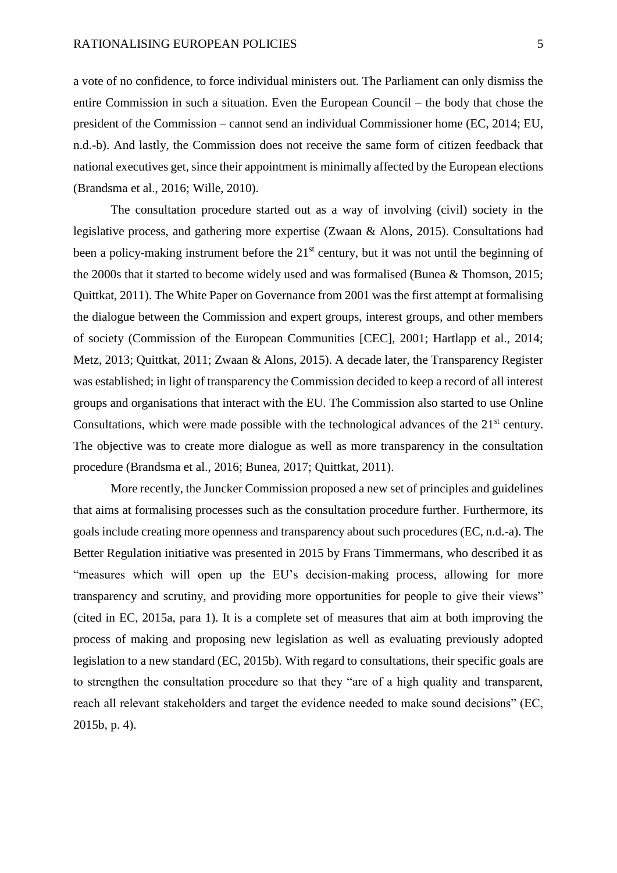a vote of no confidence, to force individual ministers out. The Parliament can only dismiss the entire Commission in such a situation. Even the European Council – the body that chose the president of the Commission – cannot send an individual Commissioner home (EC, 2014; EU, n.d.-b). And lastly, the Commission does not receive the same form of citizen feedback that national executives get, since their appointment is minimally affected by the European elections (Brandsma et al., 2016; Wille, 2010).

The consultation procedure started out as a way of involving (civil) society in the legislative process, and gathering more expertise (Zwaan & Alons, 2015). Consultations had been a policy-making instrument before the 21<sup>st</sup> century, but it was not until the beginning of the 2000s that it started to become widely used and was formalised (Bunea & Thomson, 2015; Quittkat, 2011). The White Paper on Governance from 2001 was the first attempt at formalising the dialogue between the Commission and expert groups, interest groups, and other members of society (Commission of the European Communities [CEC], 2001; Hartlapp et al., 2014; Metz, 2013; Quittkat, 2011; Zwaan & Alons, 2015). A decade later, the Transparency Register was established; in light of transparency the Commission decided to keep a record of all interest groups and organisations that interact with the EU. The Commission also started to use Online Consultations, which were made possible with the technological advances of the  $21<sup>st</sup>$  century. The objective was to create more dialogue as well as more transparency in the consultation procedure (Brandsma et al., 2016; Bunea, 2017; Quittkat, 2011).

More recently, the Juncker Commission proposed a new set of principles and guidelines that aims at formalising processes such as the consultation procedure further. Furthermore, its goals include creating more openness and transparency about such procedures (EC, n.d.-a). The Better Regulation initiative was presented in 2015 by Frans Timmermans, who described it as "measures which will open up the EU's decision-making process, allowing for more transparency and scrutiny, and providing more opportunities for people to give their views" (cited in EC, 2015a, para 1). It is a complete set of measures that aim at both improving the process of making and proposing new legislation as well as evaluating previously adopted legislation to a new standard (EC, 2015b). With regard to consultations, their specific goals are to strengthen the consultation procedure so that they "are of a high quality and transparent, reach all relevant stakeholders and target the evidence needed to make sound decisions" (EC, 2015b, p. 4).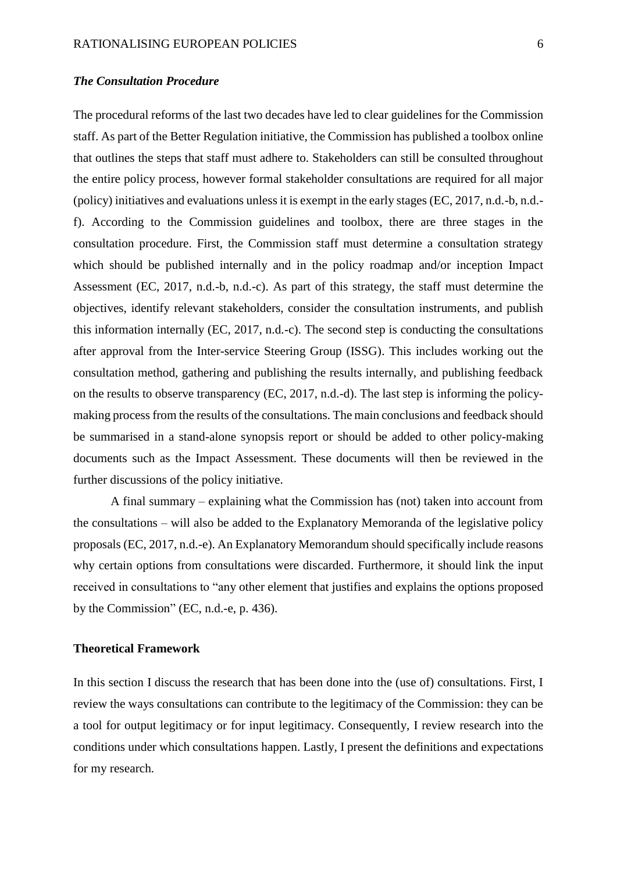#### *The Consultation Procedure*

The procedural reforms of the last two decades have led to clear guidelines for the Commission staff. As part of the Better Regulation initiative, the Commission has published a toolbox online that outlines the steps that staff must adhere to. Stakeholders can still be consulted throughout the entire policy process, however formal stakeholder consultations are required for all major (policy) initiatives and evaluations unless it is exempt in the early stages (EC, 2017, n.d.-b, n.d. f). According to the Commission guidelines and toolbox, there are three stages in the consultation procedure. First, the Commission staff must determine a consultation strategy which should be published internally and in the policy roadmap and/or inception Impact Assessment (EC, 2017, n.d.-b, n.d.-c). As part of this strategy, the staff must determine the objectives, identify relevant stakeholders, consider the consultation instruments, and publish this information internally (EC, 2017, n.d.-c). The second step is conducting the consultations after approval from the Inter-service Steering Group (ISSG). This includes working out the consultation method, gathering and publishing the results internally, and publishing feedback on the results to observe transparency (EC, 2017, n.d.-d). The last step is informing the policymaking process from the results of the consultations. The main conclusions and feedback should be summarised in a stand-alone synopsis report or should be added to other policy-making documents such as the Impact Assessment. These documents will then be reviewed in the further discussions of the policy initiative.

A final summary – explaining what the Commission has (not) taken into account from the consultations – will also be added to the Explanatory Memoranda of the legislative policy proposals (EC, 2017, n.d.-e). An Explanatory Memorandum should specifically include reasons why certain options from consultations were discarded. Furthermore, it should link the input received in consultations to "any other element that justifies and explains the options proposed by the Commission" (EC, n.d.-e, p. 436).

#### **Theoretical Framework**

In this section I discuss the research that has been done into the (use of) consultations. First, I review the ways consultations can contribute to the legitimacy of the Commission: they can be a tool for output legitimacy or for input legitimacy. Consequently, I review research into the conditions under which consultations happen. Lastly, I present the definitions and expectations for my research.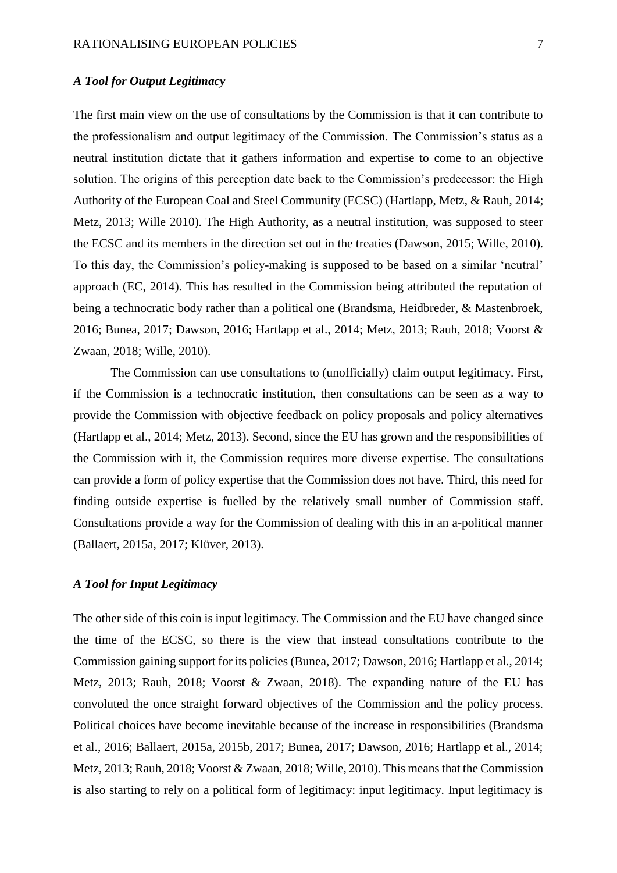## *A Tool for Output Legitimacy*

The first main view on the use of consultations by the Commission is that it can contribute to the professionalism and output legitimacy of the Commission. The Commission's status as a neutral institution dictate that it gathers information and expertise to come to an objective solution. The origins of this perception date back to the Commission's predecessor: the High Authority of the European Coal and Steel Community (ECSC) (Hartlapp, Metz, & Rauh, 2014; Metz, 2013; Wille 2010). The High Authority, as a neutral institution, was supposed to steer the ECSC and its members in the direction set out in the treaties (Dawson, 2015; Wille, 2010). To this day, the Commission's policy-making is supposed to be based on a similar 'neutral' approach (EC, 2014). This has resulted in the Commission being attributed the reputation of being a technocratic body rather than a political one (Brandsma, Heidbreder, & Mastenbroek, 2016; Bunea, 2017; Dawson, 2016; Hartlapp et al., 2014; Metz, 2013; Rauh, 2018; Voorst & Zwaan, 2018; Wille, 2010).

The Commission can use consultations to (unofficially) claim output legitimacy. First, if the Commission is a technocratic institution, then consultations can be seen as a way to provide the Commission with objective feedback on policy proposals and policy alternatives (Hartlapp et al., 2014; Metz, 2013). Second, since the EU has grown and the responsibilities of the Commission with it, the Commission requires more diverse expertise. The consultations can provide a form of policy expertise that the Commission does not have. Third, this need for finding outside expertise is fuelled by the relatively small number of Commission staff. Consultations provide a way for the Commission of dealing with this in an a-political manner (Ballaert, 2015a, 2017; Klüver, 2013).

## *A Tool for Input Legitimacy*

The other side of this coin is input legitimacy. The Commission and the EU have changed since the time of the ECSC, so there is the view that instead consultations contribute to the Commission gaining support for its policies (Bunea, 2017; Dawson, 2016; Hartlapp et al., 2014; Metz, 2013; Rauh, 2018; Voorst & Zwaan, 2018). The expanding nature of the EU has convoluted the once straight forward objectives of the Commission and the policy process. Political choices have become inevitable because of the increase in responsibilities (Brandsma et al., 2016; Ballaert, 2015a, 2015b, 2017; Bunea, 2017; Dawson, 2016; Hartlapp et al., 2014; Metz, 2013; Rauh, 2018; Voorst & Zwaan, 2018; Wille, 2010). This means that the Commission is also starting to rely on a political form of legitimacy: input legitimacy. Input legitimacy is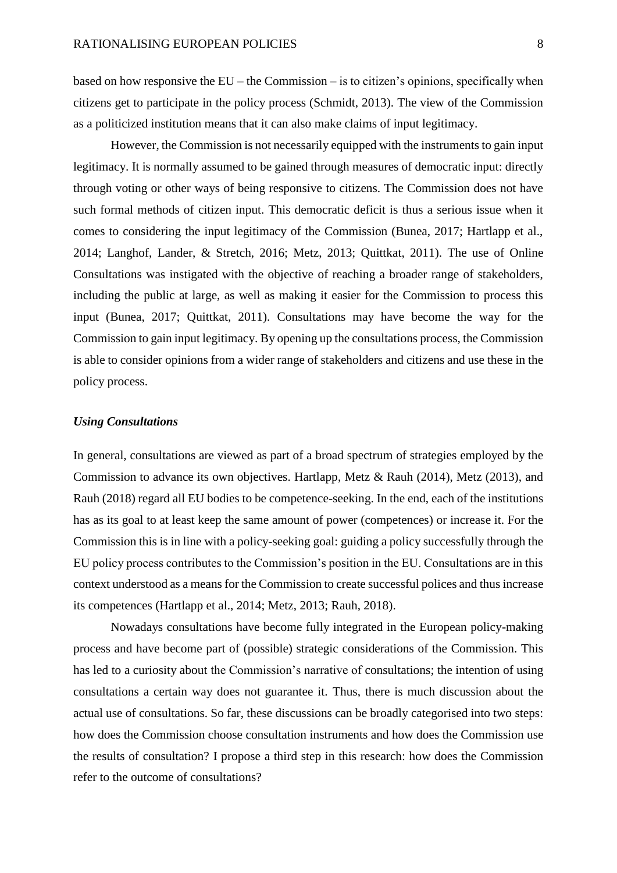based on how responsive the EU – the Commission – is to citizen's opinions, specifically when citizens get to participate in the policy process (Schmidt, 2013). The view of the Commission as a politicized institution means that it can also make claims of input legitimacy.

However, the Commission is not necessarily equipped with the instruments to gain input legitimacy. It is normally assumed to be gained through measures of democratic input: directly through voting or other ways of being responsive to citizens. The Commission does not have such formal methods of citizen input. This democratic deficit is thus a serious issue when it comes to considering the input legitimacy of the Commission (Bunea, 2017; Hartlapp et al., 2014; Langhof, Lander, & Stretch, 2016; Metz, 2013; Quittkat, 2011). The use of Online Consultations was instigated with the objective of reaching a broader range of stakeholders, including the public at large, as well as making it easier for the Commission to process this input (Bunea, 2017; Quittkat, 2011). Consultations may have become the way for the Commission to gain input legitimacy. By opening up the consultations process, the Commission is able to consider opinions from a wider range of stakeholders and citizens and use these in the policy process.

#### *Using Consultations*

In general, consultations are viewed as part of a broad spectrum of strategies employed by the Commission to advance its own objectives. Hartlapp, Metz & Rauh (2014), Metz (2013), and Rauh (2018) regard all EU bodies to be competence-seeking. In the end, each of the institutions has as its goal to at least keep the same amount of power (competences) or increase it. For the Commission this is in line with a policy-seeking goal: guiding a policy successfully through the EU policy process contributes to the Commission's position in the EU. Consultations are in this context understood as a means for the Commission to create successful polices and thus increase its competences (Hartlapp et al., 2014; Metz, 2013; Rauh, 2018).

Nowadays consultations have become fully integrated in the European policy-making process and have become part of (possible) strategic considerations of the Commission. This has led to a curiosity about the Commission's narrative of consultations; the intention of using consultations a certain way does not guarantee it. Thus, there is much discussion about the actual use of consultations. So far, these discussions can be broadly categorised into two steps: how does the Commission choose consultation instruments and how does the Commission use the results of consultation? I propose a third step in this research: how does the Commission refer to the outcome of consultations?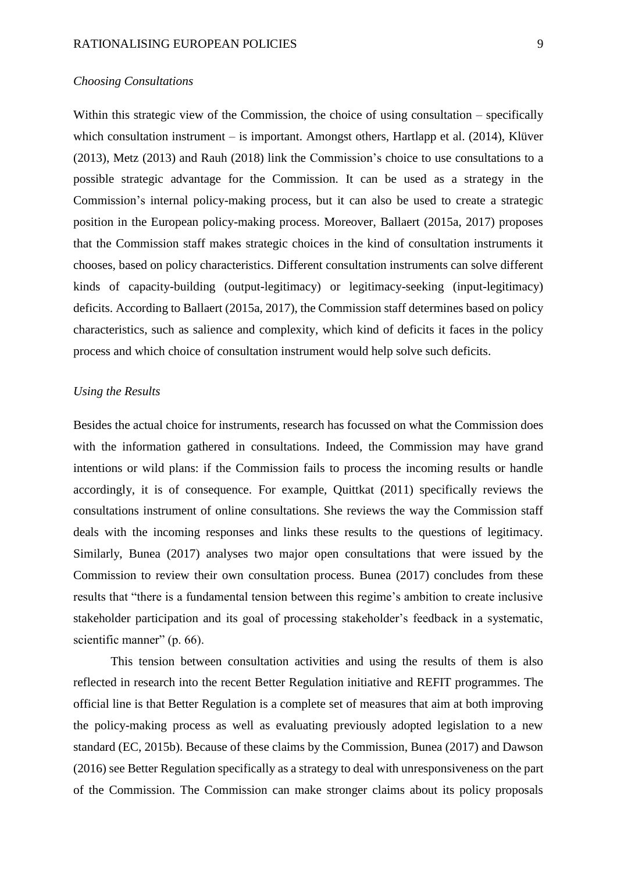#### *Choosing Consultations*

Within this strategic view of the Commission, the choice of using consultation – specifically which consultation instrument – is important. Amongst others, Hartlapp et al. (2014), Klüver (2013), Metz (2013) and Rauh (2018) link the Commission's choice to use consultations to a possible strategic advantage for the Commission. It can be used as a strategy in the Commission's internal policy-making process, but it can also be used to create a strategic position in the European policy-making process. Moreover, Ballaert (2015a, 2017) proposes that the Commission staff makes strategic choices in the kind of consultation instruments it chooses, based on policy characteristics. Different consultation instruments can solve different kinds of capacity-building (output-legitimacy) or legitimacy-seeking (input-legitimacy) deficits. According to Ballaert (2015a, 2017), the Commission staff determines based on policy characteristics, such as salience and complexity, which kind of deficits it faces in the policy process and which choice of consultation instrument would help solve such deficits.

#### *Using the Results*

Besides the actual choice for instruments, research has focussed on what the Commission does with the information gathered in consultations. Indeed, the Commission may have grand intentions or wild plans: if the Commission fails to process the incoming results or handle accordingly, it is of consequence. For example, Quittkat (2011) specifically reviews the consultations instrument of online consultations. She reviews the way the Commission staff deals with the incoming responses and links these results to the questions of legitimacy. Similarly, Bunea (2017) analyses two major open consultations that were issued by the Commission to review their own consultation process. Bunea (2017) concludes from these results that "there is a fundamental tension between this regime's ambition to create inclusive stakeholder participation and its goal of processing stakeholder's feedback in a systematic, scientific manner" (p. 66).

This tension between consultation activities and using the results of them is also reflected in research into the recent Better Regulation initiative and REFIT programmes. The official line is that Better Regulation is a complete set of measures that aim at both improving the policy-making process as well as evaluating previously adopted legislation to a new standard (EC, 2015b). Because of these claims by the Commission, Bunea (2017) and Dawson (2016) see Better Regulation specifically as a strategy to deal with unresponsiveness on the part of the Commission. The Commission can make stronger claims about its policy proposals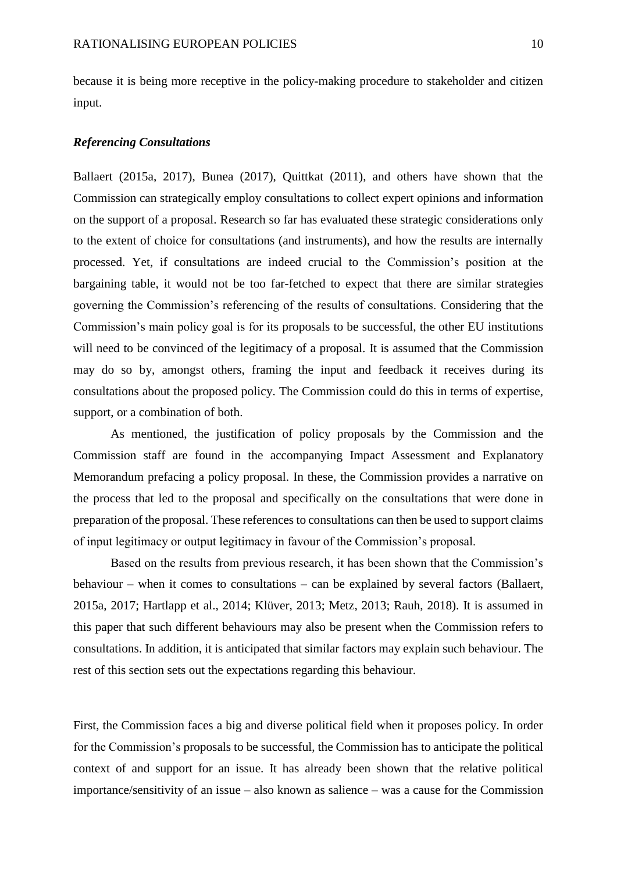because it is being more receptive in the policy-making procedure to stakeholder and citizen input.

#### *Referencing Consultations*

Ballaert (2015a, 2017), Bunea (2017), Quittkat (2011), and others have shown that the Commission can strategically employ consultations to collect expert opinions and information on the support of a proposal. Research so far has evaluated these strategic considerations only to the extent of choice for consultations (and instruments), and how the results are internally processed. Yet, if consultations are indeed crucial to the Commission's position at the bargaining table, it would not be too far-fetched to expect that there are similar strategies governing the Commission's referencing of the results of consultations. Considering that the Commission's main policy goal is for its proposals to be successful, the other EU institutions will need to be convinced of the legitimacy of a proposal. It is assumed that the Commission may do so by, amongst others, framing the input and feedback it receives during its consultations about the proposed policy. The Commission could do this in terms of expertise, support, or a combination of both.

As mentioned, the justification of policy proposals by the Commission and the Commission staff are found in the accompanying Impact Assessment and Explanatory Memorandum prefacing a policy proposal. In these, the Commission provides a narrative on the process that led to the proposal and specifically on the consultations that were done in preparation of the proposal. These references to consultations can then be used to support claims of input legitimacy or output legitimacy in favour of the Commission's proposal.

Based on the results from previous research, it has been shown that the Commission's behaviour – when it comes to consultations – can be explained by several factors (Ballaert, 2015a, 2017; Hartlapp et al., 2014; Klüver, 2013; Metz, 2013; Rauh, 2018). It is assumed in this paper that such different behaviours may also be present when the Commission refers to consultations. In addition, it is anticipated that similar factors may explain such behaviour. The rest of this section sets out the expectations regarding this behaviour.

First, the Commission faces a big and diverse political field when it proposes policy. In order for the Commission's proposals to be successful, the Commission has to anticipate the political context of and support for an issue. It has already been shown that the relative political importance/sensitivity of an issue – also known as salience – was a cause for the Commission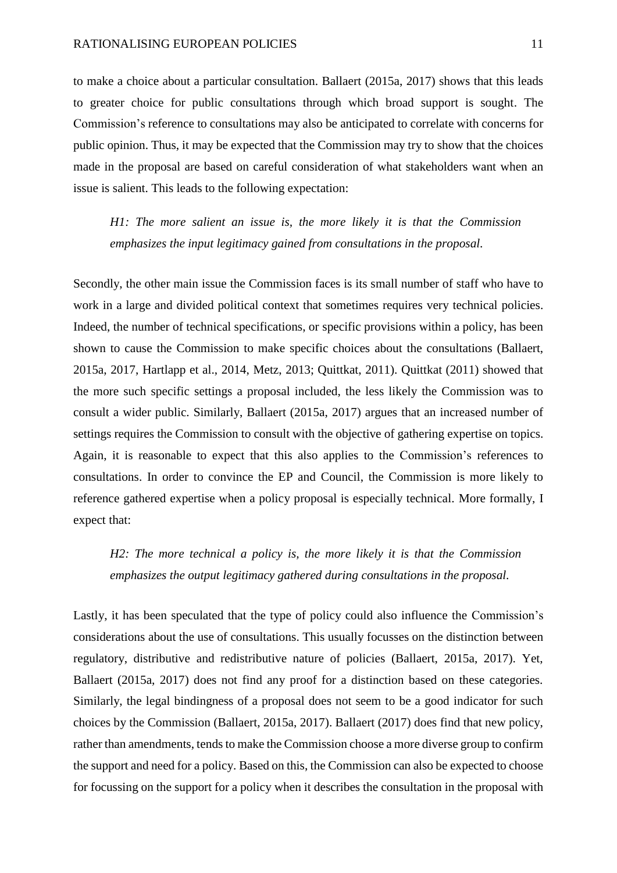to make a choice about a particular consultation. Ballaert (2015a, 2017) shows that this leads to greater choice for public consultations through which broad support is sought. The Commission's reference to consultations may also be anticipated to correlate with concerns for public opinion. Thus, it may be expected that the Commission may try to show that the choices made in the proposal are based on careful consideration of what stakeholders want when an issue is salient. This leads to the following expectation:

*H1: The more salient an issue is, the more likely it is that the Commission emphasizes the input legitimacy gained from consultations in the proposal.*

Secondly, the other main issue the Commission faces is its small number of staff who have to work in a large and divided political context that sometimes requires very technical policies. Indeed, the number of technical specifications, or specific provisions within a policy, has been shown to cause the Commission to make specific choices about the consultations (Ballaert, 2015a, 2017, Hartlapp et al., 2014, Metz, 2013; Quittkat, 2011). Quittkat (2011) showed that the more such specific settings a proposal included, the less likely the Commission was to consult a wider public. Similarly, Ballaert (2015a, 2017) argues that an increased number of settings requires the Commission to consult with the objective of gathering expertise on topics. Again, it is reasonable to expect that this also applies to the Commission's references to consultations. In order to convince the EP and Council, the Commission is more likely to reference gathered expertise when a policy proposal is especially technical. More formally, I expect that:

*H2: The more technical a policy is, the more likely it is that the Commission emphasizes the output legitimacy gathered during consultations in the proposal.*

Lastly, it has been speculated that the type of policy could also influence the Commission's considerations about the use of consultations. This usually focusses on the distinction between regulatory, distributive and redistributive nature of policies (Ballaert, 2015a, 2017). Yet, Ballaert (2015a, 2017) does not find any proof for a distinction based on these categories. Similarly, the legal bindingness of a proposal does not seem to be a good indicator for such choices by the Commission (Ballaert, 2015a, 2017). Ballaert (2017) does find that new policy, rather than amendments, tends to make the Commission choose a more diverse group to confirm the support and need for a policy. Based on this, the Commission can also be expected to choose for focussing on the support for a policy when it describes the consultation in the proposal with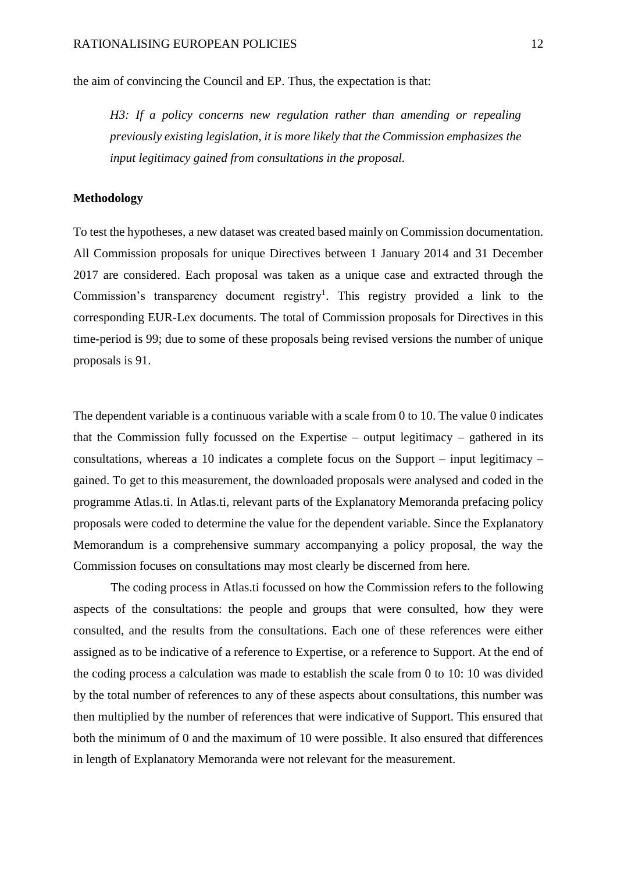the aim of convincing the Council and EP. Thus, the expectation is that:

*H3: If a policy concerns new regulation rather than amending or repealing previously existing legislation, it is more likely that the Commission emphasizes the input legitimacy gained from consultations in the proposal.*

#### **Methodology**

To test the hypotheses, a new dataset was created based mainly on Commission documentation. All Commission proposals for unique Directives between 1 January 2014 and 31 December 2017 are considered. Each proposal was taken as a unique case and extracted through the Commission's transparency document registry<sup>1</sup>. This registry provided a link to the corresponding EUR-Lex documents. The total of Commission proposals for Directives in this time-period is 99; due to some of these proposals being revised versions the number of unique proposals is 91.

The dependent variable is a continuous variable with a scale from 0 to 10. The value 0 indicates that the Commission fully focussed on the Expertise – output legitimacy – gathered in its consultations, whereas a 10 indicates a complete focus on the Support – input legitimacy – gained. To get to this measurement, the downloaded proposals were analysed and coded in the programme Atlas.ti. In Atlas.ti, relevant parts of the Explanatory Memoranda prefacing policy proposals were coded to determine the value for the dependent variable. Since the Explanatory Memorandum is a comprehensive summary accompanying a policy proposal, the way the Commission focuses on consultations may most clearly be discerned from here.

The coding process in Atlas.ti focussed on how the Commission refers to the following aspects of the consultations: the people and groups that were consulted, how they were consulted, and the results from the consultations. Each one of these references were either assigned as to be indicative of a reference to Expertise, or a reference to Support. At the end of the coding process a calculation was made to establish the scale from 0 to 10: 10 was divided by the total number of references to any of these aspects about consultations, this number was then multiplied by the number of references that were indicative of Support. This ensured that both the minimum of 0 and the maximum of 10 were possible. It also ensured that differences in length of Explanatory Memoranda were not relevant for the measurement.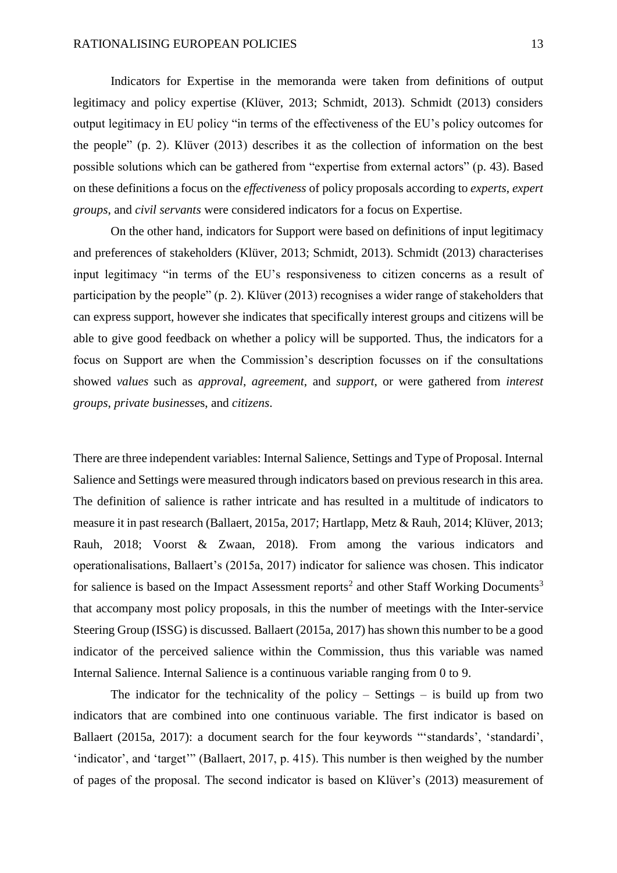Indicators for Expertise in the memoranda were taken from definitions of output legitimacy and policy expertise (Klüver, 2013; Schmidt, 2013). Schmidt (2013) considers output legitimacy in EU policy "in terms of the effectiveness of the EU's policy outcomes for the people" (p. 2). Klüver (2013) describes it as the collection of information on the best possible solutions which can be gathered from "expertise from external actors" (p. 43). Based on these definitions a focus on the *effectiveness* of policy proposals according to *experts*, *expert groups*, and *civil servants* were considered indicators for a focus on Expertise.

On the other hand, indicators for Support were based on definitions of input legitimacy and preferences of stakeholders (Klüver, 2013; Schmidt, 2013). Schmidt (2013) characterises input legitimacy "in terms of the EU's responsiveness to citizen concerns as a result of participation by the people" (p. 2). Klüver (2013) recognises a wider range of stakeholders that can express support, however she indicates that specifically interest groups and citizens will be able to give good feedback on whether a policy will be supported. Thus, the indicators for a focus on Support are when the Commission's description focusses on if the consultations showed *values* such as *approval*, *agreement*, and *support*, or were gathered from *interest groups*, *private businesse*s, and *citizens*.

There are three independent variables: Internal Salience, Settings and Type of Proposal. Internal Salience and Settings were measured through indicators based on previous research in this area. The definition of salience is rather intricate and has resulted in a multitude of indicators to measure it in past research (Ballaert, 2015a, 2017; Hartlapp, Metz & Rauh, 2014; Klüver, 2013; Rauh, 2018; Voorst & Zwaan, 2018). From among the various indicators and operationalisations, Ballaert's (2015a, 2017) indicator for salience was chosen. This indicator for salience is based on the Impact Assessment reports<sup>2</sup> and other Staff Working Documents<sup>3</sup> that accompany most policy proposals, in this the number of meetings with the Inter-service Steering Group (ISSG) is discussed. Ballaert (2015a, 2017) has shown this number to be a good indicator of the perceived salience within the Commission, thus this variable was named Internal Salience. Internal Salience is a continuous variable ranging from 0 to 9.

The indicator for the technicality of the policy – Settings – is build up from two indicators that are combined into one continuous variable. The first indicator is based on Ballaert (2015a, 2017): a document search for the four keywords "'standards', 'standardi', 'indicator', and 'target'" (Ballaert, 2017, p. 415). This number is then weighed by the number of pages of the proposal. The second indicator is based on Klüver's (2013) measurement of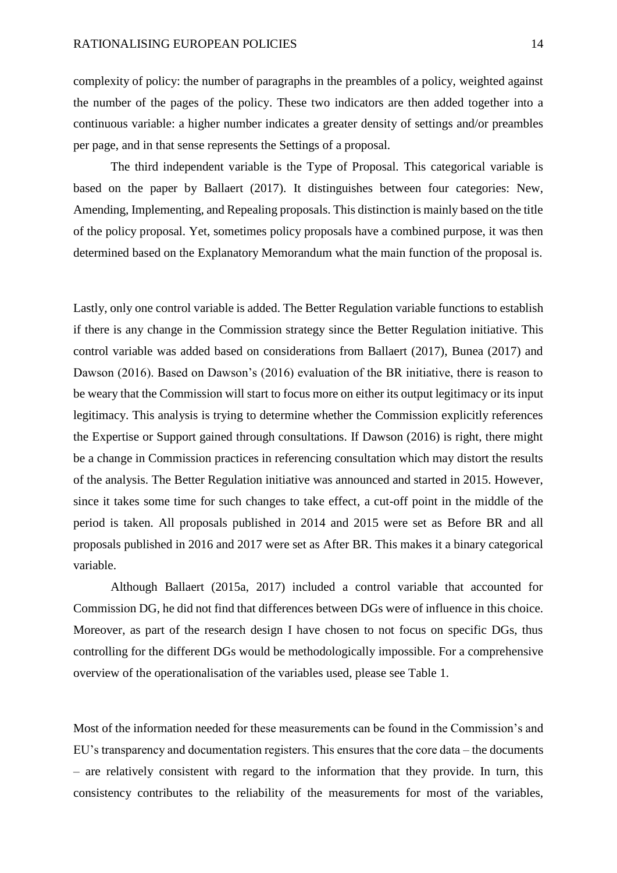complexity of policy: the number of paragraphs in the preambles of a policy, weighted against the number of the pages of the policy. These two indicators are then added together into a continuous variable: a higher number indicates a greater density of settings and/or preambles per page, and in that sense represents the Settings of a proposal.

The third independent variable is the Type of Proposal. This categorical variable is based on the paper by Ballaert (2017). It distinguishes between four categories: New, Amending, Implementing, and Repealing proposals. This distinction is mainly based on the title of the policy proposal. Yet, sometimes policy proposals have a combined purpose, it was then determined based on the Explanatory Memorandum what the main function of the proposal is.

Lastly, only one control variable is added. The Better Regulation variable functions to establish if there is any change in the Commission strategy since the Better Regulation initiative. This control variable was added based on considerations from Ballaert (2017), Bunea (2017) and Dawson (2016). Based on Dawson's (2016) evaluation of the BR initiative, there is reason to be weary that the Commission will start to focus more on either its output legitimacy or its input legitimacy. This analysis is trying to determine whether the Commission explicitly references the Expertise or Support gained through consultations. If Dawson (2016) is right, there might be a change in Commission practices in referencing consultation which may distort the results of the analysis. The Better Regulation initiative was announced and started in 2015. However, since it takes some time for such changes to take effect, a cut-off point in the middle of the period is taken. All proposals published in 2014 and 2015 were set as Before BR and all proposals published in 2016 and 2017 were set as After BR. This makes it a binary categorical variable.

Although Ballaert (2015a, 2017) included a control variable that accounted for Commission DG, he did not find that differences between DGs were of influence in this choice. Moreover, as part of the research design I have chosen to not focus on specific DGs, thus controlling for the different DGs would be methodologically impossible. For a comprehensive overview of the operationalisation of the variables used, please see Table 1.

Most of the information needed for these measurements can be found in the Commission's and EU's transparency and documentation registers. This ensures that the core data – the documents – are relatively consistent with regard to the information that they provide. In turn, this consistency contributes to the reliability of the measurements for most of the variables,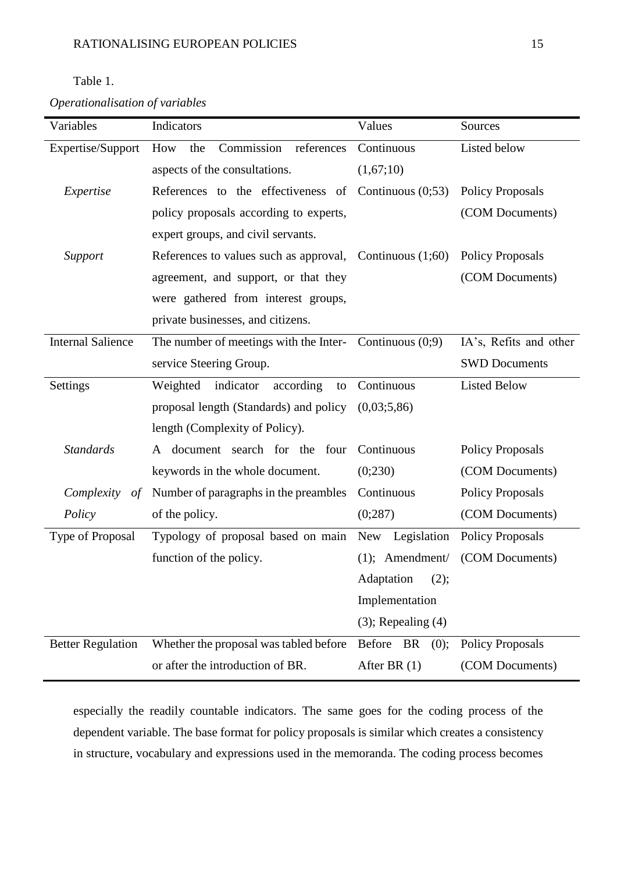## Table 1.

*Operationalisation of variables*

| Variables                | Indicators                                                 | Values                    | Sources                 |  |
|--------------------------|------------------------------------------------------------|---------------------------|-------------------------|--|
| Expertise/Support        | Commission<br>How<br>the<br>references                     | Continuous                | Listed below            |  |
|                          | aspects of the consultations.                              | (1,67;10)                 |                         |  |
| Expertise                | References to the effectiveness of Continuous $(0,53)$     |                           | <b>Policy Proposals</b> |  |
|                          | policy proposals according to experts,                     |                           | (COM Documents)         |  |
|                          | expert groups, and civil servants.                         |                           |                         |  |
| Support                  | References to values such as approval, Continuous $(1;60)$ |                           | <b>Policy Proposals</b> |  |
|                          | agreement, and support, or that they                       |                           | (COM Documents)         |  |
|                          | were gathered from interest groups,                        |                           |                         |  |
|                          | private businesses, and citizens.                          |                           |                         |  |
| <b>Internal Salience</b> | The number of meetings with the Inter- Continuous $(0,9)$  |                           | IA's, Refits and other  |  |
|                          | service Steering Group.                                    |                           | <b>SWD Documents</b>    |  |
| Settings                 | Weighted<br>indicator<br>according<br>to                   | Continuous                | <b>Listed Below</b>     |  |
|                          | proposal length (Standards) and policy                     | (0,03;5,86)               |                         |  |
|                          | length (Complexity of Policy).                             |                           |                         |  |
| <b>Standards</b>         | A document search for the four                             | Continuous                | <b>Policy Proposals</b> |  |
|                          | keywords in the whole document.                            | (0;230)                   | (COM Documents)         |  |
| Complexity<br>of         | Number of paragraphs in the preambles                      | Continuous                | <b>Policy Proposals</b> |  |
| Policy                   | of the policy.                                             | (0;287)                   | (COM Documents)         |  |
| Type of Proposal         | Typology of proposal based on main                         | Legislation<br><b>New</b> | <b>Policy Proposals</b> |  |
|                          | function of the policy.                                    | $(1)$ ; Amendment/        | (COM Documents)         |  |
|                          |                                                            | (2);<br>Adaptation        |                         |  |
|                          |                                                            | Implementation            |                         |  |
|                          |                                                            | $(3)$ ; Repealing $(4)$   |                         |  |
| <b>Better Regulation</b> | Whether the proposal was tabled before                     | Before BR<br>(0);         | <b>Policy Proposals</b> |  |
|                          | or after the introduction of BR.                           | After BR $(1)$            | (COM Documents)         |  |

especially the readily countable indicators. The same goes for the coding process of the dependent variable. The base format for policy proposals is similar which creates a consistency in structure, vocabulary and expressions used in the memoranda. The coding process becomes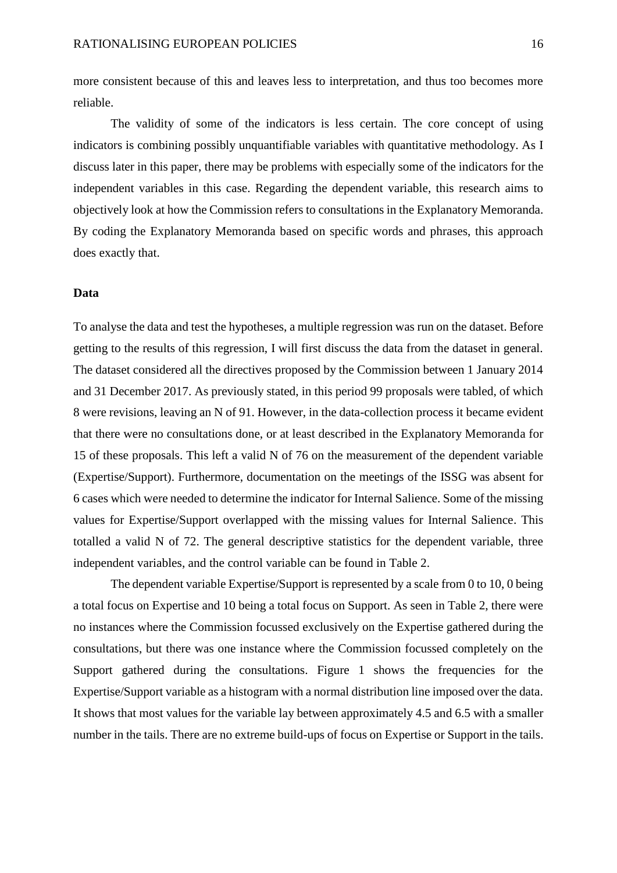more consistent because of this and leaves less to interpretation, and thus too becomes more reliable.

The validity of some of the indicators is less certain. The core concept of using indicators is combining possibly unquantifiable variables with quantitative methodology. As I discuss later in this paper, there may be problems with especially some of the indicators for the independent variables in this case. Regarding the dependent variable, this research aims to objectively look at how the Commission refers to consultations in the Explanatory Memoranda. By coding the Explanatory Memoranda based on specific words and phrases, this approach does exactly that.

#### **Data**

To analyse the data and test the hypotheses, a multiple regression was run on the dataset. Before getting to the results of this regression, I will first discuss the data from the dataset in general. The dataset considered all the directives proposed by the Commission between 1 January 2014 and 31 December 2017. As previously stated, in this period 99 proposals were tabled, of which 8 were revisions, leaving an N of 91. However, in the data-collection process it became evident that there were no consultations done, or at least described in the Explanatory Memoranda for 15 of these proposals. This left a valid N of 76 on the measurement of the dependent variable (Expertise/Support). Furthermore, documentation on the meetings of the ISSG was absent for 6 cases which were needed to determine the indicator for Internal Salience. Some of the missing values for Expertise/Support overlapped with the missing values for Internal Salience. This totalled a valid N of 72. The general descriptive statistics for the dependent variable, three independent variables, and the control variable can be found in Table 2.

The dependent variable Expertise/Support is represented by a scale from 0 to 10, 0 being a total focus on Expertise and 10 being a total focus on Support. As seen in Table 2, there were no instances where the Commission focussed exclusively on the Expertise gathered during the consultations, but there was one instance where the Commission focussed completely on the Support gathered during the consultations. Figure 1 shows the frequencies for the Expertise/Support variable as a histogram with a normal distribution line imposed over the data. It shows that most values for the variable lay between approximately 4.5 and 6.5 with a smaller number in the tails. There are no extreme build-ups of focus on Expertise or Support in the tails.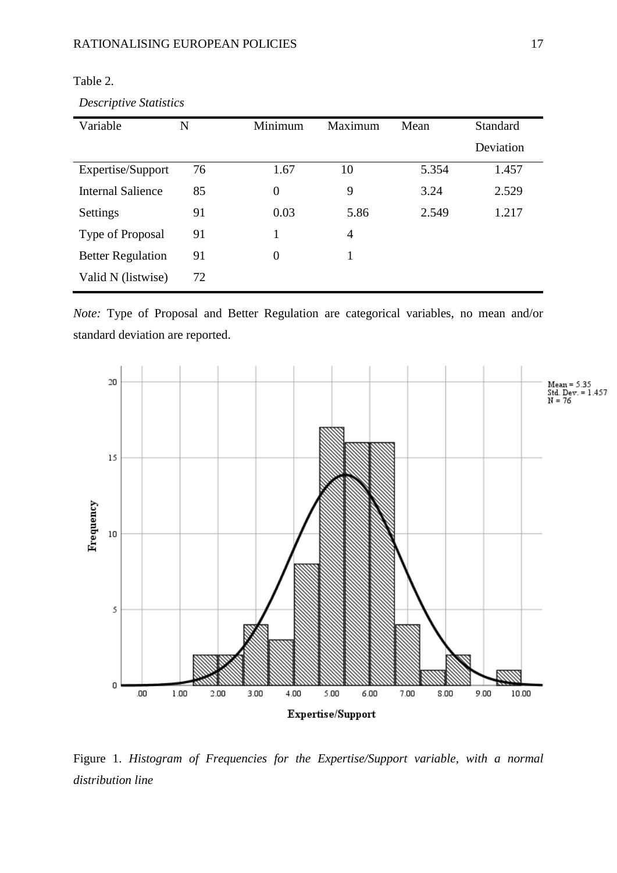| Variable                 | N  | Minimum        | Maximum        | Mean  | <b>Standard</b> |  |
|--------------------------|----|----------------|----------------|-------|-----------------|--|
|                          |    |                |                |       | Deviation       |  |
| Expertise/Support        | 76 | 1.67           | 10             | 5.354 | 1.457           |  |
| <b>Internal Salience</b> | 85 | $\theta$       | 9              | 3.24  | 2.529           |  |
| Settings                 | 91 | 0.03           | 5.86           | 2.549 | 1.217           |  |
| Type of Proposal         | 91 | 1              | $\overline{4}$ |       |                 |  |
| <b>Better Regulation</b> | 91 | $\overline{0}$ |                |       |                 |  |
| Valid N (listwise)       | 72 |                |                |       |                 |  |

Table 2.

*Descriptive Statistics*

*Note:* Type of Proposal and Better Regulation are categorical variables, no mean and/or standard deviation are reported.



Figure 1. *Histogram of Frequencies for the Expertise/Support variable, with a normal distribution line*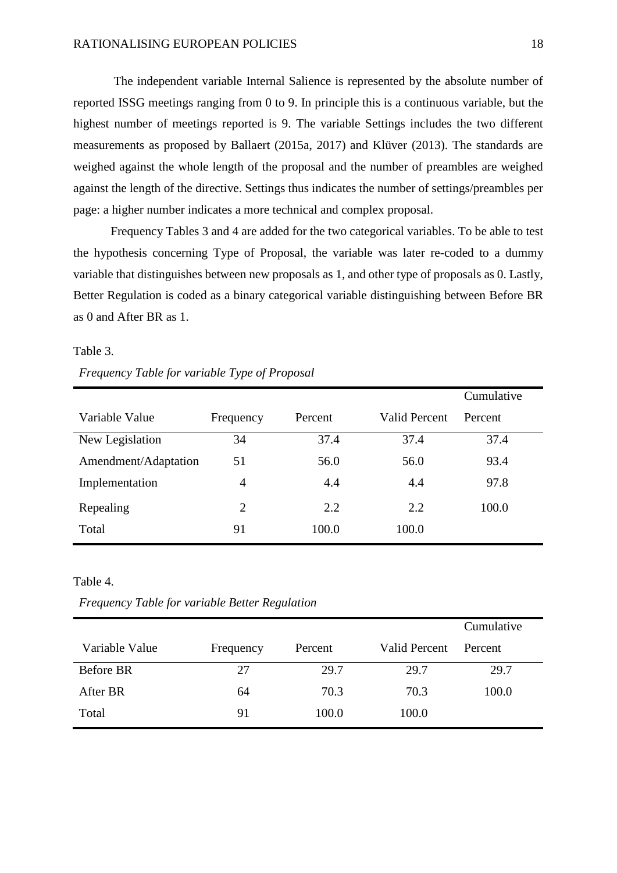The independent variable Internal Salience is represented by the absolute number of reported ISSG meetings ranging from 0 to 9. In principle this is a continuous variable, but the highest number of meetings reported is 9. The variable Settings includes the two different measurements as proposed by Ballaert (2015a, 2017) and Klüver (2013). The standards are weighed against the whole length of the proposal and the number of preambles are weighed against the length of the directive. Settings thus indicates the number of settings/preambles per page: a higher number indicates a more technical and complex proposal.

Frequency Tables 3 and 4 are added for the two categorical variables. To be able to test the hypothesis concerning Type of Proposal, the variable was later re-coded to a dummy variable that distinguishes between new proposals as 1, and other type of proposals as 0. Lastly, Better Regulation is coded as a binary categorical variable distinguishing between Before BR as 0 and After BR as 1.

#### Table 3.

| Frequency Table for variable Type of Proposal |  |  |
|-----------------------------------------------|--|--|
|                                               |  |  |

|                      |                |         |                      | Cumulative |
|----------------------|----------------|---------|----------------------|------------|
| Variable Value       | Frequency      | Percent | <b>Valid Percent</b> | Percent    |
| New Legislation      | 34             | 37.4    | 37.4                 | 37.4       |
| Amendment/Adaptation | 51             | 56.0    | 56.0                 | 93.4       |
| Implementation       | $\overline{4}$ | 4.4     | 4.4                  | 97.8       |
| Repealing            | $\overline{2}$ | 2.2     | 2.2                  | 100.0      |
| Total                | 91             | 100.0   | 100.0                |            |

#### Table 4.

*Frequency Table for variable Better Regulation*

|                  |           |         |               | Cumulative |
|------------------|-----------|---------|---------------|------------|
| Variable Value   | Frequency | Percent | Valid Percent | Percent    |
| <b>Before BR</b> | 27        | 29.7    | 29.7          | 29.7       |
| After BR         | 64        | 70.3    | 70.3          | 100.0      |
| Total            | 91        | 100.0   | 100.0         |            |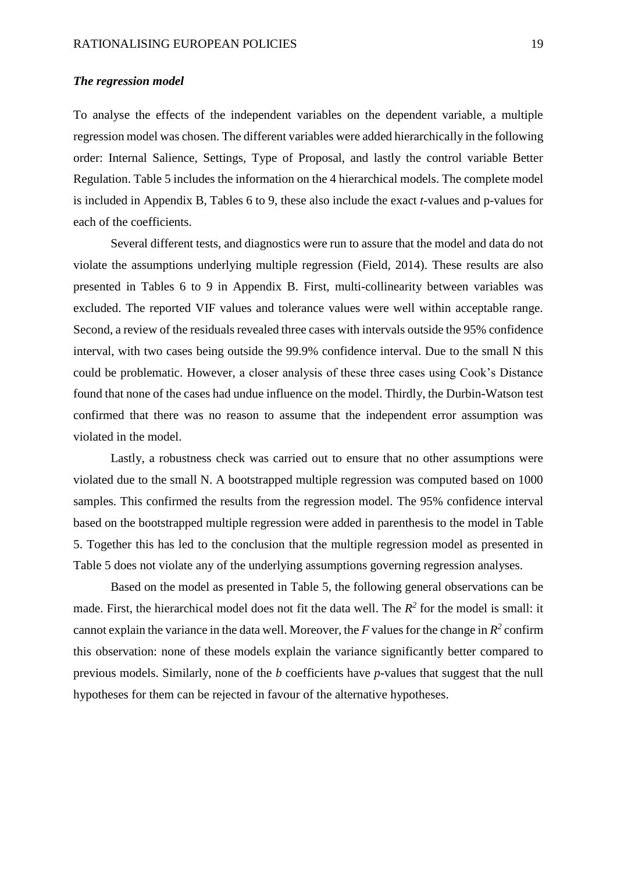#### *The regression model*

To analyse the effects of the independent variables on the dependent variable, a multiple regression model was chosen. The different variables were added hierarchically in the following order: Internal Salience, Settings, Type of Proposal, and lastly the control variable Better Regulation. Table 5 includes the information on the 4 hierarchical models. The complete model is included in Appendix B, Tables 6 to 9, these also include the exact *t*-values and p-values for each of the coefficients.

Several different tests, and diagnostics were run to assure that the model and data do not violate the assumptions underlying multiple regression (Field, 2014). These results are also presented in Tables 6 to 9 in Appendix B. First, multi-collinearity between variables was excluded. The reported VIF values and tolerance values were well within acceptable range. Second, a review of the residuals revealed three cases with intervals outside the 95% confidence interval, with two cases being outside the 99.9% confidence interval. Due to the small N this could be problematic. However, a closer analysis of these three cases using Cook's Distance found that none of the cases had undue influence on the model. Thirdly, the Durbin-Watson test confirmed that there was no reason to assume that the independent error assumption was violated in the model.

Lastly, a robustness check was carried out to ensure that no other assumptions were violated due to the small N. A bootstrapped multiple regression was computed based on 1000 samples. This confirmed the results from the regression model. The 95% confidence interval based on the bootstrapped multiple regression were added in parenthesis to the model in Table 5. Together this has led to the conclusion that the multiple regression model as presented in Table 5 does not violate any of the underlying assumptions governing regression analyses.

Based on the model as presented in Table 5, the following general observations can be made. First, the hierarchical model does not fit the data well. The  $R^2$  for the model is small: it cannot explain the variance in the data well. Moreover, the *F* values for the change in  $R^2$  confirm this observation: none of these models explain the variance significantly better compared to previous models. Similarly, none of the *b* coefficients have *p*-values that suggest that the null hypotheses for them can be rejected in favour of the alternative hypotheses.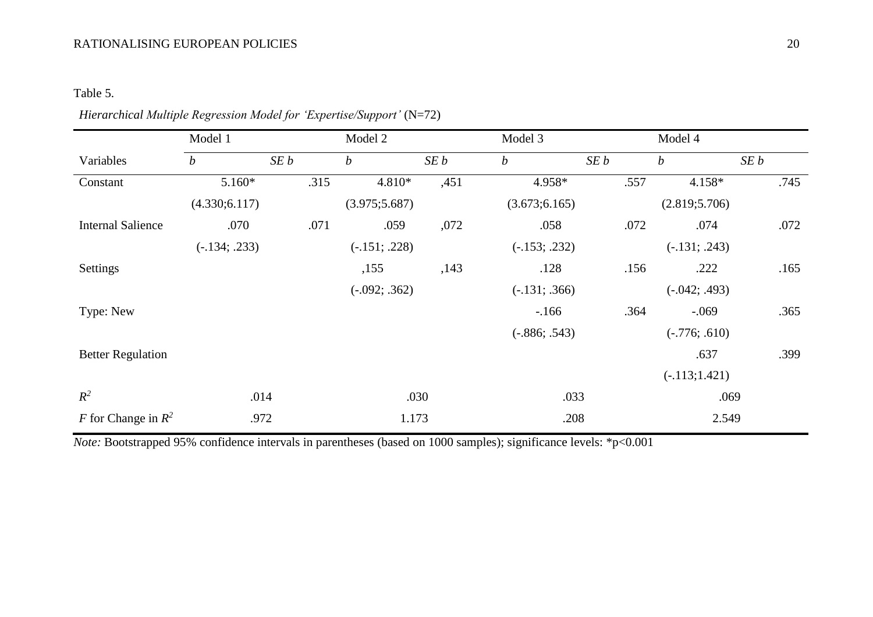## RATIONALISING EUROPEAN POLICIES 20

# Table 5.

|                          | Model 1          |      | Model 2          |      | Model 3          |      | Model 4          |      |
|--------------------------|------------------|------|------------------|------|------------------|------|------------------|------|
| Variables                | $\boldsymbol{b}$ | SEb  | $\boldsymbol{b}$ | SEb  | $\boldsymbol{b}$ | SEb  | $\boldsymbol{b}$ | SEb  |
| Constant                 | $5.160*$         | .315 | 4.810*           | ,451 | 4.958*           | .557 | 4.158*           | .745 |
|                          | (4.330; 6.117)   |      | (3.975; 5.687)   |      | (3.673; 6.165)   |      | (2.819; 5.706)   |      |
| <b>Internal Salience</b> | .070             | .071 | .059             | ,072 | .058             | .072 | .074             | .072 |
|                          | $(-.134; .233)$  |      | $(-.151; .228)$  |      | $(-.153; .232)$  |      | $(-.131; .243)$  |      |
| Settings                 |                  |      | ,155             | ,143 | .128             | .156 | .222             | .165 |
|                          |                  |      | $(-.092; .362)$  |      | $(-.131; .366)$  |      | $(-.042; .493)$  |      |
| Type: New                |                  |      |                  |      | $-166$           | .364 | $-.069$          | .365 |
|                          |                  |      |                  |      | $(-.886; .543)$  |      | $(-.776; .610)$  |      |
| <b>Better Regulation</b> |                  |      |                  |      |                  |      | .637             | .399 |
|                          |                  |      |                  |      |                  |      | $(-.113;1.421)$  |      |
| $R^2$                    | .014             |      |                  | .030 | .033             |      | .069             |      |
| F for Change in $R^2$    | .972             |      | 1.173            |      | .208             |      | 2.549            |      |

# *Hierarchical Multiple Regression Model for 'Expertise/Support'* (N=72)

*Note:* Bootstrapped 95% confidence intervals in parentheses (based on 1000 samples); significance levels: \*p<0.001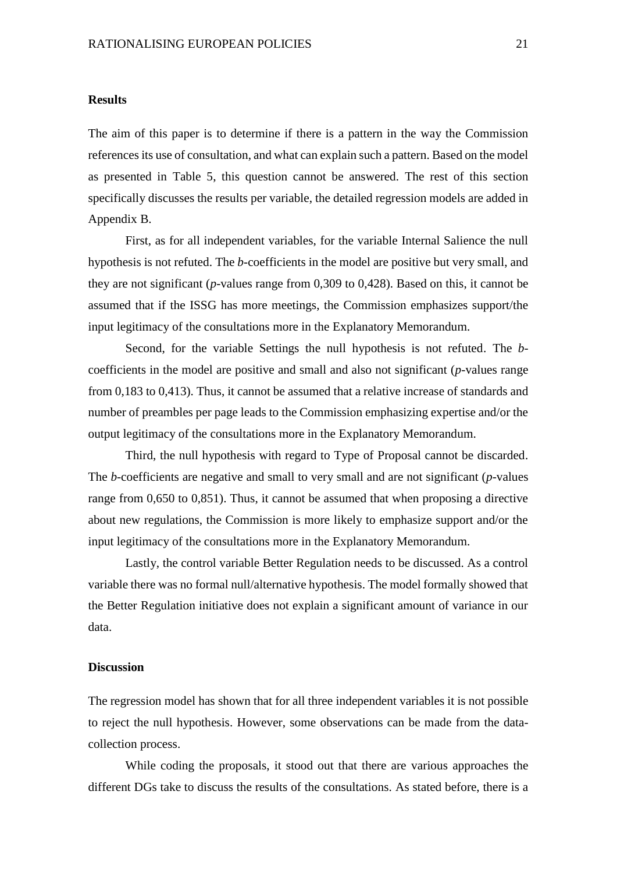#### **Results**

The aim of this paper is to determine if there is a pattern in the way the Commission references its use of consultation, and what can explain such a pattern. Based on the model as presented in Table 5, this question cannot be answered. The rest of this section specifically discusses the results per variable, the detailed regression models are added in Appendix B.

First, as for all independent variables, for the variable Internal Salience the null hypothesis is not refuted. The *b*-coefficients in the model are positive but very small, and they are not significant (*p*-values range from 0,309 to 0,428). Based on this, it cannot be assumed that if the ISSG has more meetings, the Commission emphasizes support/the input legitimacy of the consultations more in the Explanatory Memorandum.

Second, for the variable Settings the null hypothesis is not refuted. The *b*coefficients in the model are positive and small and also not significant (*p*-values range from 0,183 to 0,413). Thus, it cannot be assumed that a relative increase of standards and number of preambles per page leads to the Commission emphasizing expertise and/or the output legitimacy of the consultations more in the Explanatory Memorandum.

Third, the null hypothesis with regard to Type of Proposal cannot be discarded. The *b*-coefficients are negative and small to very small and are not significant (*p*-values range from 0,650 to 0,851). Thus, it cannot be assumed that when proposing a directive about new regulations, the Commission is more likely to emphasize support and/or the input legitimacy of the consultations more in the Explanatory Memorandum.

Lastly, the control variable Better Regulation needs to be discussed. As a control variable there was no formal null/alternative hypothesis. The model formally showed that the Better Regulation initiative does not explain a significant amount of variance in our data.

#### **Discussion**

The regression model has shown that for all three independent variables it is not possible to reject the null hypothesis. However, some observations can be made from the datacollection process.

While coding the proposals, it stood out that there are various approaches the different DGs take to discuss the results of the consultations. As stated before, there is a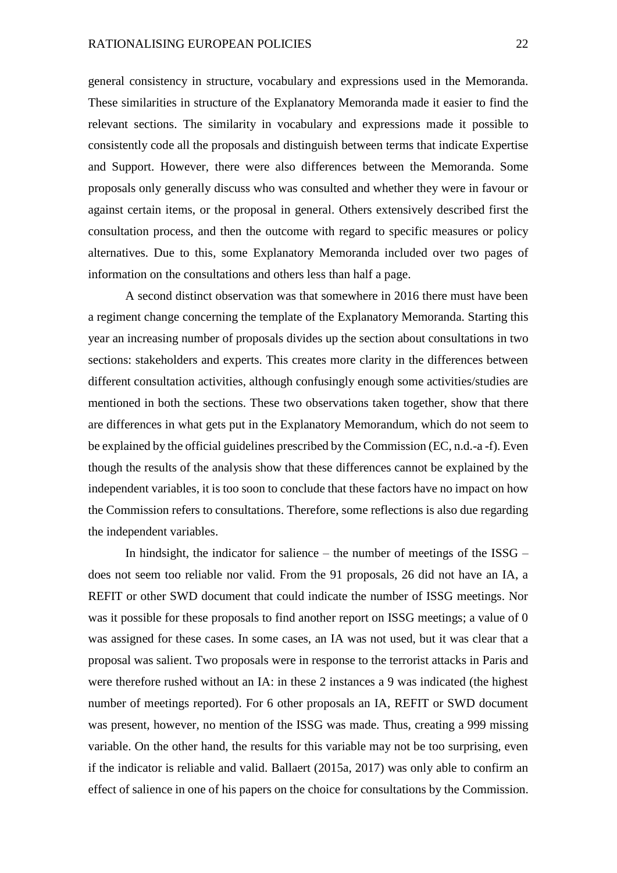general consistency in structure, vocabulary and expressions used in the Memoranda. These similarities in structure of the Explanatory Memoranda made it easier to find the relevant sections. The similarity in vocabulary and expressions made it possible to consistently code all the proposals and distinguish between terms that indicate Expertise and Support. However, there were also differences between the Memoranda. Some proposals only generally discuss who was consulted and whether they were in favour or against certain items, or the proposal in general. Others extensively described first the consultation process, and then the outcome with regard to specific measures or policy alternatives. Due to this, some Explanatory Memoranda included over two pages of information on the consultations and others less than half a page.

A second distinct observation was that somewhere in 2016 there must have been a regiment change concerning the template of the Explanatory Memoranda. Starting this year an increasing number of proposals divides up the section about consultations in two sections: stakeholders and experts. This creates more clarity in the differences between different consultation activities, although confusingly enough some activities/studies are mentioned in both the sections. These two observations taken together, show that there are differences in what gets put in the Explanatory Memorandum, which do not seem to be explained by the official guidelines prescribed by the Commission (EC, n.d.-a -f). Even though the results of the analysis show that these differences cannot be explained by the independent variables, it is too soon to conclude that these factors have no impact on how the Commission refers to consultations. Therefore, some reflections is also due regarding the independent variables.

In hindsight, the indicator for salience – the number of meetings of the ISSG – does not seem too reliable nor valid. From the 91 proposals, 26 did not have an IA, a REFIT or other SWD document that could indicate the number of ISSG meetings. Nor was it possible for these proposals to find another report on ISSG meetings; a value of 0 was assigned for these cases. In some cases, an IA was not used, but it was clear that a proposal was salient. Two proposals were in response to the terrorist attacks in Paris and were therefore rushed without an IA: in these 2 instances a 9 was indicated (the highest number of meetings reported). For 6 other proposals an IA, REFIT or SWD document was present, however, no mention of the ISSG was made. Thus, creating a 999 missing variable. On the other hand, the results for this variable may not be too surprising, even if the indicator is reliable and valid. Ballaert (2015a, 2017) was only able to confirm an effect of salience in one of his papers on the choice for consultations by the Commission.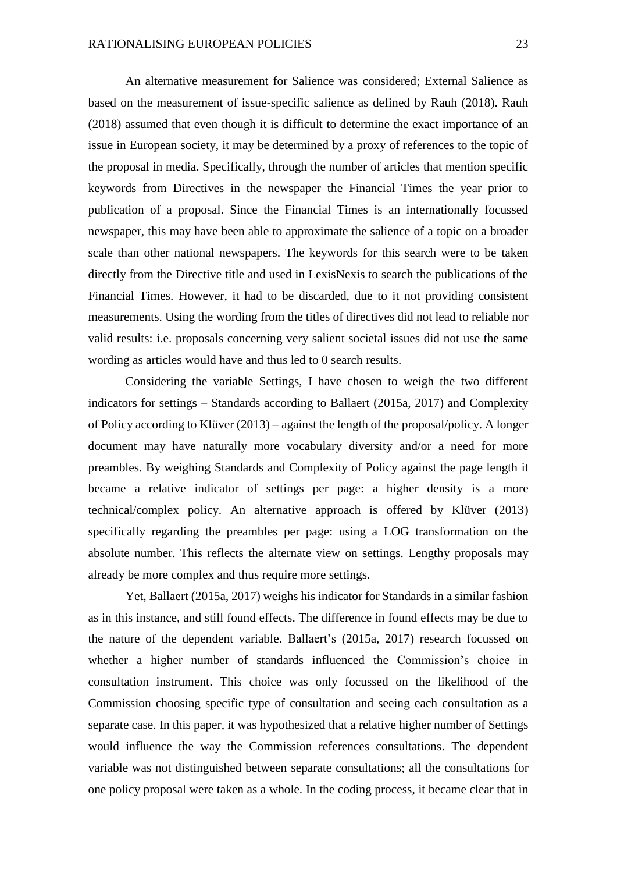An alternative measurement for Salience was considered; External Salience as based on the measurement of issue-specific salience as defined by Rauh (2018). Rauh (2018) assumed that even though it is difficult to determine the exact importance of an issue in European society, it may be determined by a proxy of references to the topic of the proposal in media. Specifically, through the number of articles that mention specific keywords from Directives in the newspaper the Financial Times the year prior to publication of a proposal. Since the Financial Times is an internationally focussed newspaper, this may have been able to approximate the salience of a topic on a broader scale than other national newspapers. The keywords for this search were to be taken directly from the Directive title and used in LexisNexis to search the publications of the Financial Times. However, it had to be discarded, due to it not providing consistent measurements. Using the wording from the titles of directives did not lead to reliable nor valid results: i.e. proposals concerning very salient societal issues did not use the same wording as articles would have and thus led to 0 search results.

Considering the variable Settings, I have chosen to weigh the two different indicators for settings – Standards according to Ballaert (2015a, 2017) and Complexity of Policy according to Klüver (2013) – against the length of the proposal/policy. A longer document may have naturally more vocabulary diversity and/or a need for more preambles. By weighing Standards and Complexity of Policy against the page length it became a relative indicator of settings per page: a higher density is a more technical/complex policy. An alternative approach is offered by Klüver (2013) specifically regarding the preambles per page: using a LOG transformation on the absolute number. This reflects the alternate view on settings. Lengthy proposals may already be more complex and thus require more settings.

Yet, Ballaert (2015a, 2017) weighs his indicator for Standards in a similar fashion as in this instance, and still found effects. The difference in found effects may be due to the nature of the dependent variable. Ballaert's (2015a, 2017) research focussed on whether a higher number of standards influenced the Commission's choice in consultation instrument. This choice was only focussed on the likelihood of the Commission choosing specific type of consultation and seeing each consultation as a separate case. In this paper, it was hypothesized that a relative higher number of Settings would influence the way the Commission references consultations. The dependent variable was not distinguished between separate consultations; all the consultations for one policy proposal were taken as a whole. In the coding process, it became clear that in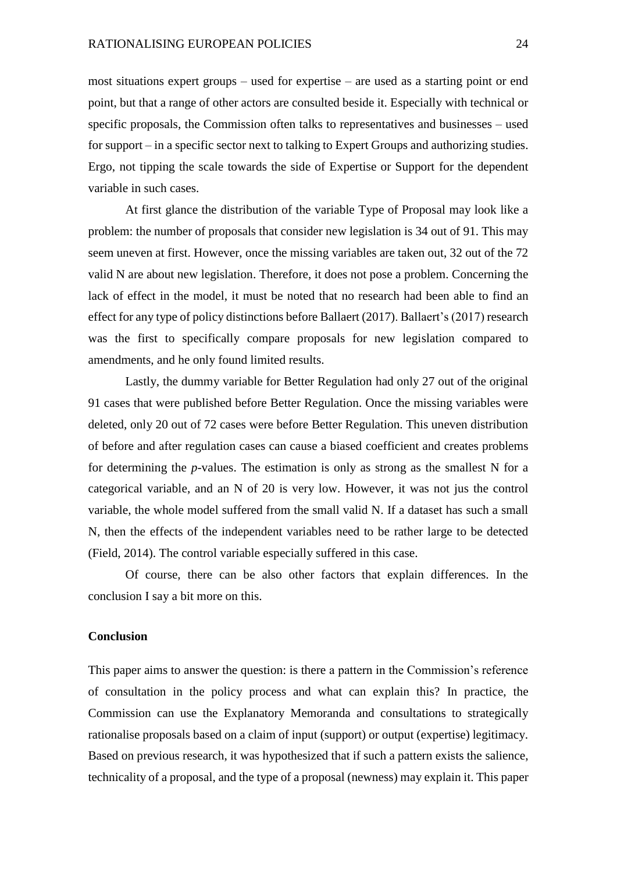most situations expert groups – used for expertise – are used as a starting point or end point, but that a range of other actors are consulted beside it. Especially with technical or specific proposals, the Commission often talks to representatives and businesses – used for support – in a specific sector next to talking to Expert Groups and authorizing studies. Ergo, not tipping the scale towards the side of Expertise or Support for the dependent variable in such cases.

At first glance the distribution of the variable Type of Proposal may look like a problem: the number of proposals that consider new legislation is 34 out of 91. This may seem uneven at first. However, once the missing variables are taken out, 32 out of the 72 valid N are about new legislation. Therefore, it does not pose a problem. Concerning the lack of effect in the model, it must be noted that no research had been able to find an effect for any type of policy distinctions before Ballaert (2017). Ballaert's (2017) research was the first to specifically compare proposals for new legislation compared to amendments, and he only found limited results.

Lastly, the dummy variable for Better Regulation had only 27 out of the original 91 cases that were published before Better Regulation. Once the missing variables were deleted, only 20 out of 72 cases were before Better Regulation. This uneven distribution of before and after regulation cases can cause a biased coefficient and creates problems for determining the *p*-values. The estimation is only as strong as the smallest N for a categorical variable, and an N of 20 is very low. However, it was not jus the control variable, the whole model suffered from the small valid N. If a dataset has such a small N, then the effects of the independent variables need to be rather large to be detected (Field, 2014). The control variable especially suffered in this case.

Of course, there can be also other factors that explain differences. In the conclusion I say a bit more on this.

#### **Conclusion**

This paper aims to answer the question: is there a pattern in the Commission's reference of consultation in the policy process and what can explain this? In practice, the Commission can use the Explanatory Memoranda and consultations to strategically rationalise proposals based on a claim of input (support) or output (expertise) legitimacy. Based on previous research, it was hypothesized that if such a pattern exists the salience, technicality of a proposal, and the type of a proposal (newness) may explain it. This paper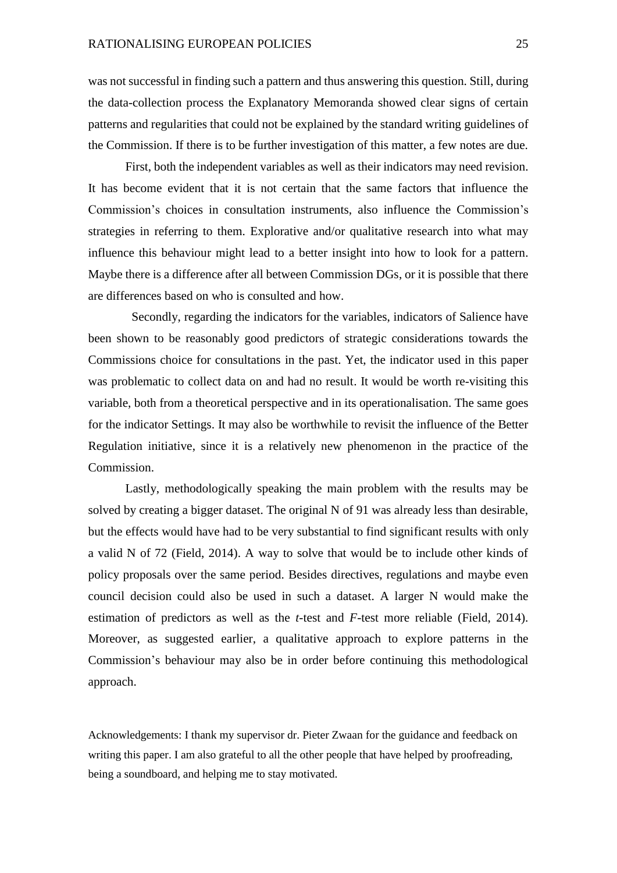was not successful in finding such a pattern and thus answering this question. Still, during the data-collection process the Explanatory Memoranda showed clear signs of certain patterns and regularities that could not be explained by the standard writing guidelines of the Commission. If there is to be further investigation of this matter, a few notes are due.

First, both the independent variables as well as their indicators may need revision. It has become evident that it is not certain that the same factors that influence the Commission's choices in consultation instruments, also influence the Commission's strategies in referring to them. Explorative and/or qualitative research into what may influence this behaviour might lead to a better insight into how to look for a pattern. Maybe there is a difference after all between Commission DGs, or it is possible that there are differences based on who is consulted and how.

Secondly, regarding the indicators for the variables, indicators of Salience have been shown to be reasonably good predictors of strategic considerations towards the Commissions choice for consultations in the past. Yet, the indicator used in this paper was problematic to collect data on and had no result. It would be worth re-visiting this variable, both from a theoretical perspective and in its operationalisation. The same goes for the indicator Settings. It may also be worthwhile to revisit the influence of the Better Regulation initiative, since it is a relatively new phenomenon in the practice of the Commission.

Lastly, methodologically speaking the main problem with the results may be solved by creating a bigger dataset. The original N of 91 was already less than desirable, but the effects would have had to be very substantial to find significant results with only a valid N of 72 (Field, 2014). A way to solve that would be to include other kinds of policy proposals over the same period. Besides directives, regulations and maybe even council decision could also be used in such a dataset. A larger N would make the estimation of predictors as well as the *t*-test and *F*-test more reliable (Field, 2014). Moreover, as suggested earlier, a qualitative approach to explore patterns in the Commission's behaviour may also be in order before continuing this methodological approach.

Acknowledgements: I thank my supervisor dr. Pieter Zwaan for the guidance and feedback on writing this paper. I am also grateful to all the other people that have helped by proofreading, being a soundboard, and helping me to stay motivated.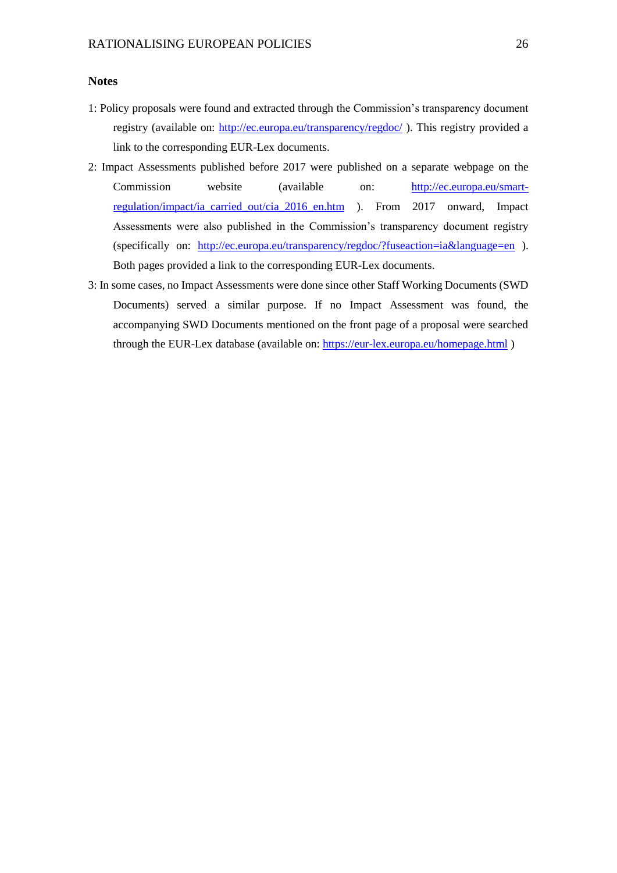### **Notes**

- 1: Policy proposals were found and extracted through the Commission's transparency document registry (available on:<http://ec.europa.eu/transparency/regdoc/>). This registry provided a link to the corresponding EUR-Lex documents.
- 2: Impact Assessments published before 2017 were published on a separate webpage on the Commission website (available on: [http://ec.europa.eu/smart](http://ec.europa.eu/smart-regulation/impact/ia_carried_out/cia_2016_en.htm)[regulation/impact/ia\\_carried\\_out/cia\\_2016\\_en.htm](http://ec.europa.eu/smart-regulation/impact/ia_carried_out/cia_2016_en.htm) ). From 2017 onward, Impact Assessments were also published in the Commission's transparency document registry (specifically on: <http://ec.europa.eu/transparency/regdoc/?fuseaction=ia&language=en> ). Both pages provided a link to the corresponding EUR-Lex documents.
- 3: In some cases, no Impact Assessments were done since other Staff Working Documents (SWD Documents) served a similar purpose. If no Impact Assessment was found, the accompanying SWD Documents mentioned on the front page of a proposal were searched through the EUR-Lex database (available on:<https://eur-lex.europa.eu/homepage.html>)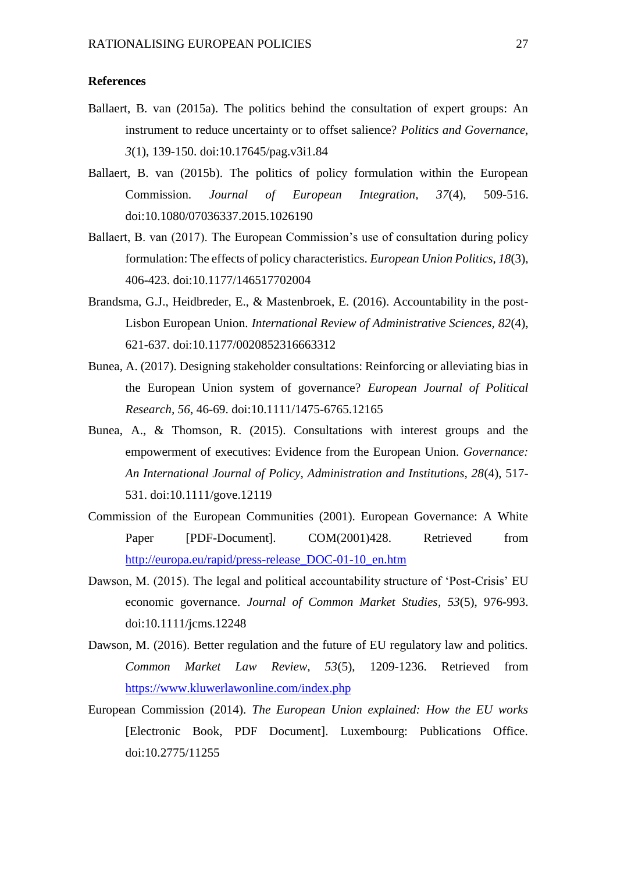#### **References**

- Ballaert, B. van (2015a). The politics behind the consultation of expert groups: An instrument to reduce uncertainty or to offset salience? *Politics and Governance, 3*(1), 139-150. doi:10.17645/pag.v3i1.84
- Ballaert, B. van (2015b). The politics of policy formulation within the European Commission. *Journal of European Integration, 37*(4), 509-516. doi:10.1080/07036337.2015.1026190
- Ballaert, B. van (2017). The European Commission's use of consultation during policy formulation: The effects of policy characteristics. *European Union Politics, 18*(3), 406-423. doi:10.1177/146517702004
- Brandsma, G.J., Heidbreder, E., & Mastenbroek, E. (2016). Accountability in the post-Lisbon European Union. *International Review of Administrative Sciences, 82*(4), 621-637. doi:10.1177/0020852316663312
- Bunea, A. (2017). Designing stakeholder consultations: Reinforcing or alleviating bias in the European Union system of governance? *European Journal of Political Research, 56*, 46-69. doi:10.1111/1475-6765.12165
- Bunea, A., & Thomson, R. (2015). Consultations with interest groups and the empowerment of executives: Evidence from the European Union. *Governance: An International Journal of Policy, Administration and Institutions, 28*(4), 517- 531. doi:10.1111/gove.12119
- Commission of the European Communities (2001). European Governance: A White Paper [PDF-Document]. COM(2001)428. Retrieved from [http://europa.eu/rapid/press-release\\_DOC-01-10\\_en.htm](http://europa.eu/rapid/press-release_DOC-01-10_en.htm)
- Dawson, M. (2015). The legal and political accountability structure of 'Post-Crisis' EU economic governance. *Journal of Common Market Studies, 53*(5), 976-993. doi:10.1111/jcms.12248
- Dawson, M. (2016). Better regulation and the future of EU regulatory law and politics. *Common Market Law Review, 53*(5), 1209-1236. Retrieved from <https://www.kluwerlawonline.com/index.php>
- European Commission (2014). *The European Union explained: How the EU works* [Electronic Book, PDF Document]. Luxembourg: Publications Office. doi:10.2775/11255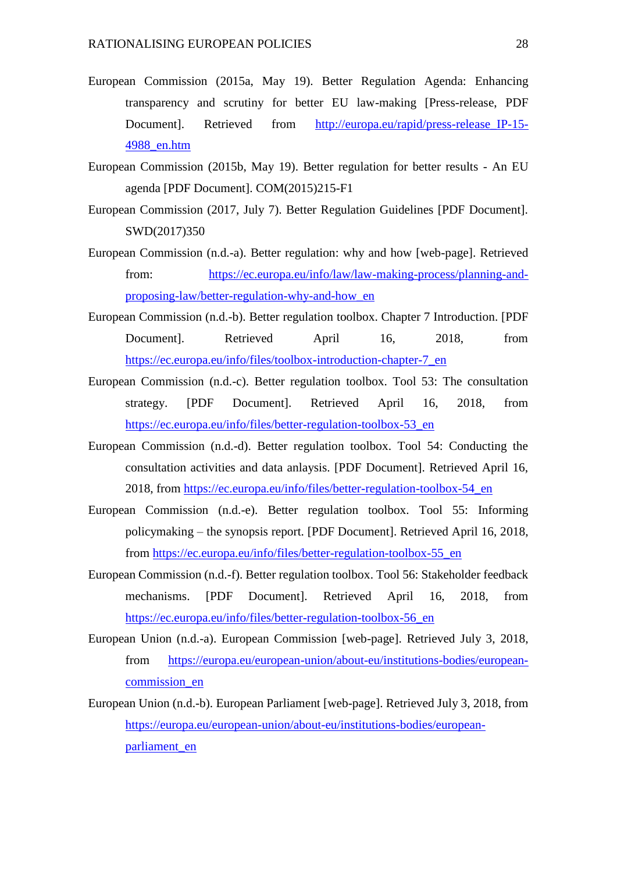- European Commission (2015a, May 19). Better Regulation Agenda: Enhancing transparency and scrutiny for better EU law-making [Press-release, PDF Document]. Retrieved from [http://europa.eu/rapid/press-release\\_IP-15-](http://europa.eu/rapid/press-release_IP-15-4988_en.htm) [4988\\_en.htm](http://europa.eu/rapid/press-release_IP-15-4988_en.htm)
- European Commission (2015b, May 19). Better regulation for better results An EU agenda [PDF Document]. COM(2015)215-F1
- European Commission (2017, July 7). Better Regulation Guidelines [PDF Document]. SWD(2017)350
- European Commission (n.d.-a). Better regulation: why and how [web-page]. Retrieved from: [https://ec.europa.eu/info/law/law-making-process/planning-and](https://ec.europa.eu/info/law/law-making-process/planning-and-proposing-law/better-regulation-why-and-how_en)[proposing-law/better-regulation-why-and-how\\_en](https://ec.europa.eu/info/law/law-making-process/planning-and-proposing-law/better-regulation-why-and-how_en)
- European Commission (n.d.-b). Better regulation toolbox. Chapter 7 Introduction. [PDF Document]. Retrieved April 16, 2018, from [https://ec.europa.eu/info/files/toolbox-introduction-chapter-7\\_en](https://ec.europa.eu/info/files/toolbox-introduction-chapter-7_en)
- European Commission (n.d.-c). Better regulation toolbox. Tool 53: The consultation strategy. [PDF Document]. Retrieved April 16, 2018, from [https://ec.europa.eu/info/files/better-regulation-toolbox-53\\_en](https://ec.europa.eu/info/files/better-regulation-toolbox-53_en)
- European Commission (n.d.-d). Better regulation toolbox. Tool 54: Conducting the consultation activities and data anlaysis. [PDF Document]. Retrieved April 16, 2018, from [https://ec.europa.eu/info/files/better-regulation-toolbox-54\\_en](https://ec.europa.eu/info/files/better-regulation-toolbox-54_en)
- European Commission (n.d.-e). Better regulation toolbox. Tool 55: Informing policymaking – the synopsis report. [PDF Document]. Retrieved April 16, 2018, from [https://ec.europa.eu/info/files/better-regulation-toolbox-55\\_en](https://ec.europa.eu/info/files/better-regulation-toolbox-55_en)
- European Commission (n.d.-f). Better regulation toolbox. Tool 56: Stakeholder feedback mechanisms. [PDF Document]. Retrieved April 16, 2018, from [https://ec.europa.eu/info/files/better-regulation-toolbox-56\\_en](https://ec.europa.eu/info/files/better-regulation-toolbox-56_en)
- European Union (n.d.-a). European Commission [web-page]. Retrieved July 3, 2018, from [https://europa.eu/european-union/about-eu/institutions-bodies/european](https://europa.eu/european-union/about-eu/institutions-bodies/european-commission_en)[commission\\_en](https://europa.eu/european-union/about-eu/institutions-bodies/european-commission_en)
- European Union (n.d.-b). European Parliament [web-page]. Retrieved July 3, 2018, from [https://europa.eu/european-union/about-eu/institutions-bodies/european](https://europa.eu/european-union/about-eu/institutions-bodies/european-parliament_en)[parliament\\_en](https://europa.eu/european-union/about-eu/institutions-bodies/european-parliament_en)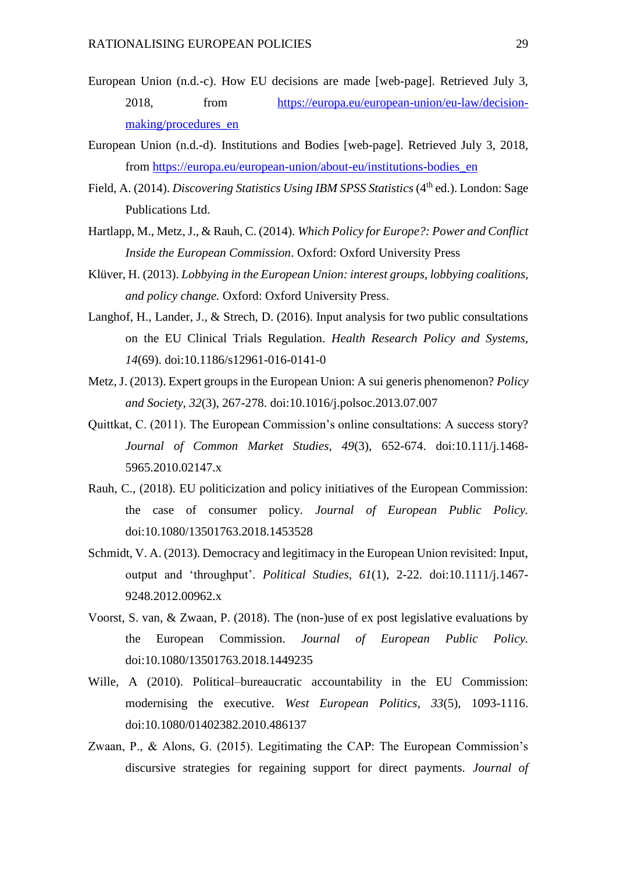- European Union (n.d.-c). How EU decisions are made [web-page]. Retrieved July 3, 2018, from [https://europa.eu/european-union/eu-law/decision](https://europa.eu/european-union/eu-law/decision-making/procedures_en)[making/procedures\\_en](https://europa.eu/european-union/eu-law/decision-making/procedures_en)
- European Union (n.d.-d). Institutions and Bodies [web-page]. Retrieved July 3, 2018, from [https://europa.eu/european-union/about-eu/institutions-bodies\\_en](https://europa.eu/european-union/about-eu/institutions-bodies_en)
- Field, A. (2014). *Discovering Statistics Using IBM SPSS Statistics* (4<sup>th</sup> ed.). London: Sage Publications Ltd.
- Hartlapp, M., Metz, J., & Rauh, C. (2014). *Which Policy for Europe?: Power and Conflict Inside the European Commission*. Oxford: Oxford University Press
- Klüver, H. (2013). *Lobbying in the European Union: interest groups, lobbying coalitions, and policy change.* Oxford: Oxford University Press.
- Langhof, H., Lander, J., & Strech, D. (2016). Input analysis for two public consultations on the EU Clinical Trials Regulation. *Health Research Policy and Systems, 14*(69). doi:10.1186/s12961-016-0141-0
- Metz, J. (2013). Expert groups in the European Union: A sui generis phenomenon? *Policy and Society, 32*(3), 267-278. doi:10.1016/j.polsoc.2013.07.007
- Quittkat, C. (2011). The European Commission's online consultations: A success story? *Journal of Common Market Studies, 49*(3), 652-674. doi:10.111/j.1468- 5965.2010.02147.x
- Rauh, C., (2018). EU politicization and policy initiatives of the European Commission: the case of consumer policy. *Journal of European Public Policy.*  doi:10.1080/13501763.2018.1453528
- Schmidt, V. A. (2013). Democracy and legitimacy in the European Union revisited: Input, output and 'throughput'. *Political Studies, 61*(1), 2-22. doi:10.1111/j.1467- 9248.2012.00962.x
- Voorst, S. van, & Zwaan, P. (2018). The (non-)use of ex post legislative evaluations by the European Commission. *Journal of European Public Policy.* doi:10.1080/13501763.2018.1449235
- Wille, A (2010). Political–bureaucratic accountability in the EU Commission: modernising the executive. *West European Politics, 33*(5), 1093-1116. doi:10.1080/01402382.2010.486137
- Zwaan, P., & Alons, G. (2015). Legitimating the CAP: The European Commission's discursive strategies for regaining support for direct payments. *Journal of*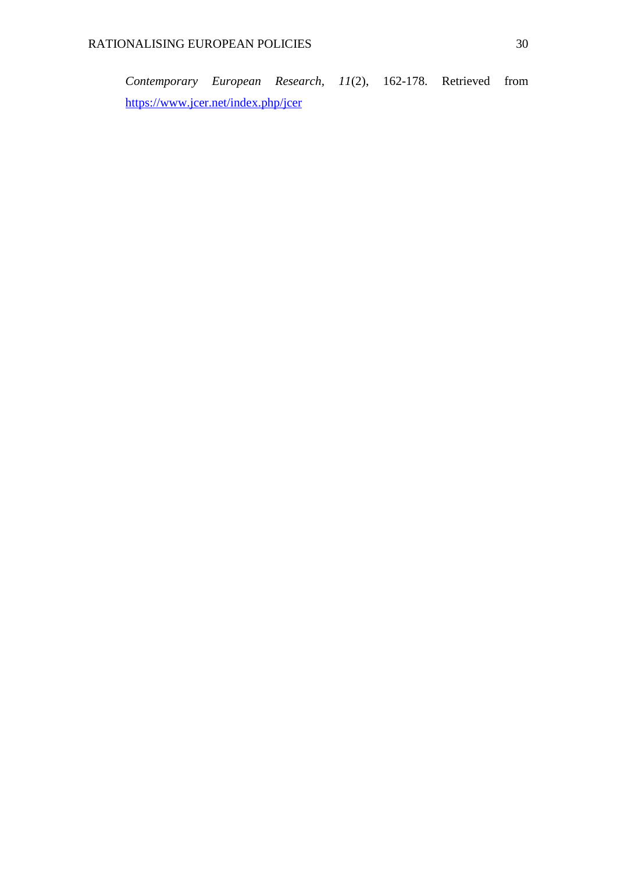*Contemporary European Research, 11*(2), 162-178. Retrieved from <https://www.jcer.net/index.php/jcer>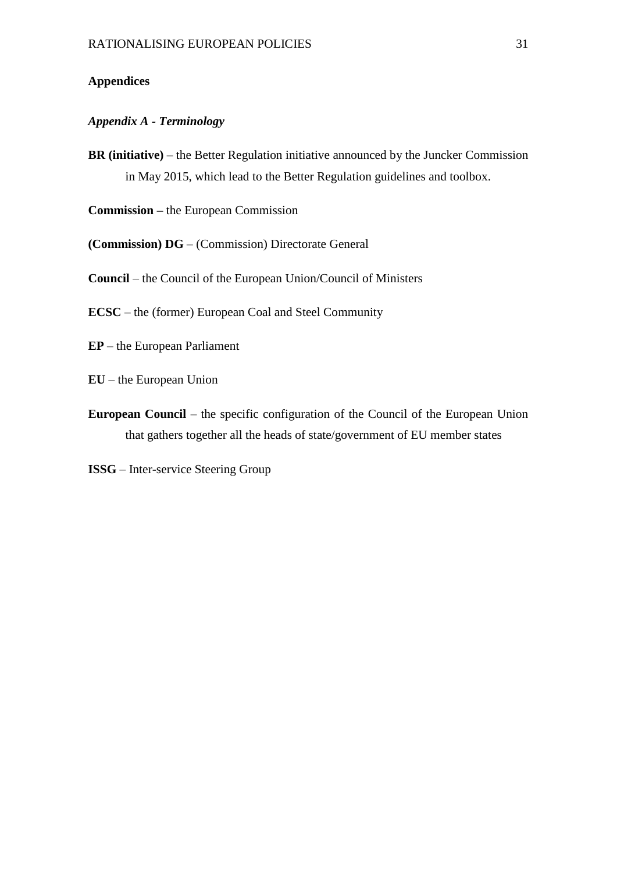## **Appendices**

## *Appendix A - Terminology*

**BR (initiative)** – the Better Regulation initiative announced by the Juncker Commission in May 2015, which lead to the Better Regulation guidelines and toolbox.

**Commission –** the European Commission

**(Commission) DG** – (Commission) Directorate General

**Council** – the Council of the European Union/Council of Ministers

**ECSC** – the (former) European Coal and Steel Community

**EP** – the European Parliament

**EU** – the European Union

**European Council** – the specific configuration of the Council of the European Union that gathers together all the heads of state/government of EU member states

**ISSG** – Inter-service Steering Group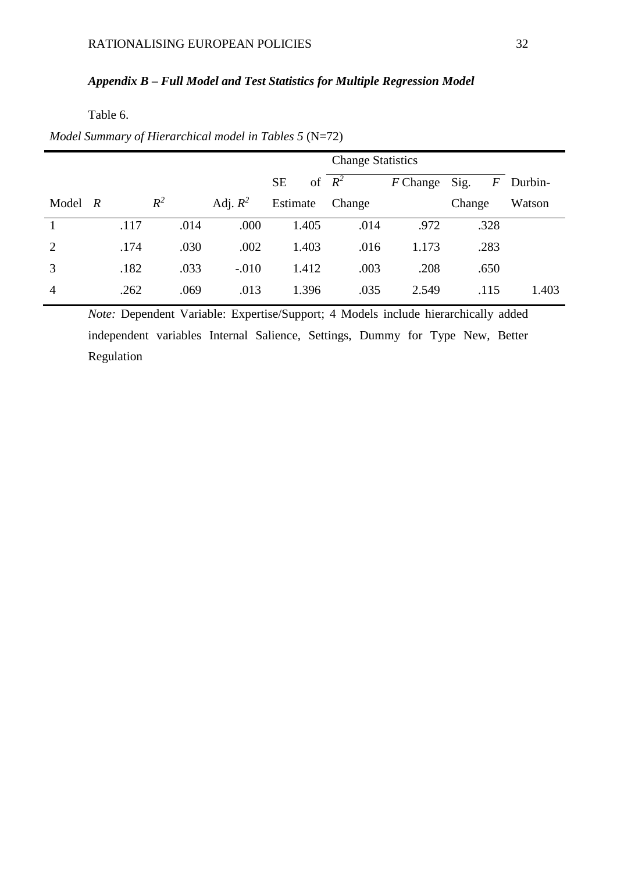# *Appendix B – Full Model and Test Statistics for Multiple Regression Model*

Table 6.

|                         |      |       |            |                 | <b>Change Statistics</b> |            |           |         |
|-------------------------|------|-------|------------|-----------------|--------------------------|------------|-----------|---------|
|                         |      |       |            | of<br><b>SE</b> | $R^2$                    | $F$ Change | Sig.<br>F | Durbin- |
| Model<br>$\overline{R}$ |      | $R^2$ | Adj. $R^2$ | Estimate        | Change                   |            | Change    | Watson  |
|                         | .117 | .014  | .000       | 1.405           | .014                     | .972       | .328      |         |
| $\overline{2}$          | .174 | .030  | .002       | 1.403           | .016                     | 1.173      | .283      |         |
| 3                       | .182 | .033  | $-.010$    | 1.412           | .003                     | .208       | .650      |         |
| $\overline{4}$          | .262 | .069  | .013       | 1.396           | .035                     | 2.549      | .115      | 1.403   |

*Model Summary of Hierarchical model in Tables 5* (N=72)

*Note:* Dependent Variable: Expertise/Support; 4 Models include hierarchically added independent variables Internal Salience, Settings, Dummy for Type New, Better Regulation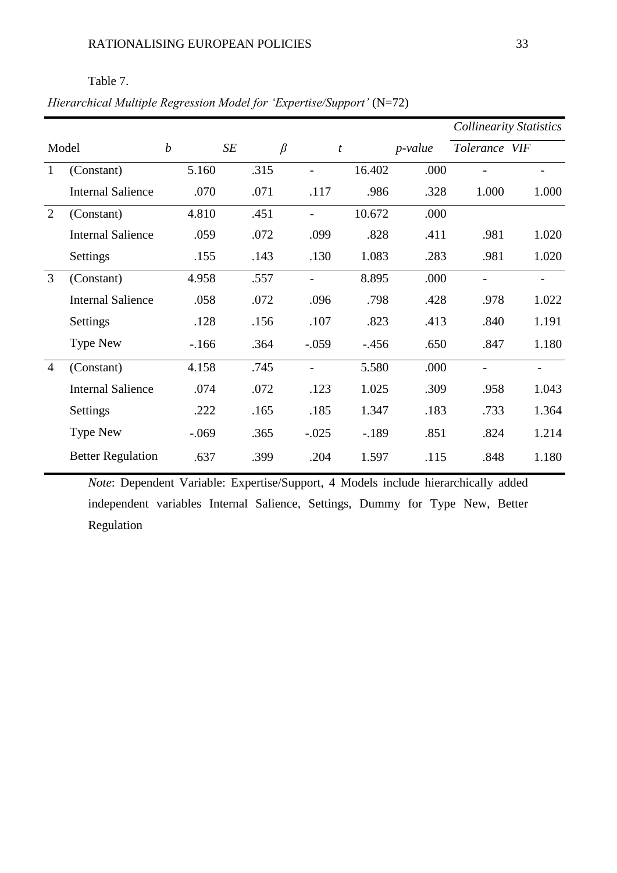# Table 7.

# *Hierarchical Multiple Regression Model for 'Expertise/Support'* (N=72)

|                |                          |                  |      |                          |         |            |                          | <b>Collinearity Statistics</b> |
|----------------|--------------------------|------------------|------|--------------------------|---------|------------|--------------------------|--------------------------------|
|                | Model                    | $\boldsymbol{b}$ | SE   | $\beta$                  | t       | $p$ -value | Tolerance VIF            |                                |
| 1              | (Constant)               | 5.160            | .315 |                          | 16.402  | .000       |                          |                                |
|                | <b>Internal Salience</b> | .070             | .071 | .117                     | .986    | .328       | 1.000                    | 1.000                          |
| 2              | (Constant)               | 4.810            | .451 | $\blacksquare$           | 10.672  | .000       |                          |                                |
|                | <b>Internal Salience</b> | .059             | .072 | .099                     | .828    | .411       | .981                     | 1.020                          |
|                | Settings                 | .155             | .143 | .130                     | 1.083   | .283       | .981                     | 1.020                          |
| 3              | (Constant)               | 4.958            | .557 | $\qquad \qquad -$        | 8.895   | .000       | $\overline{\phantom{a}}$ | $\overline{\phantom{0}}$       |
|                | <b>Internal Salience</b> | .058             | .072 | .096                     | .798    | .428       | .978                     | 1.022                          |
|                | Settings                 | .128             | .156 | .107                     | .823    | .413       | .840                     | 1.191                          |
|                | <b>Type New</b>          | $-166$           | .364 | $-.059$                  | $-.456$ | .650       | .847                     | 1.180                          |
| $\overline{4}$ | (Constant)               | 4.158            | .745 | $\overline{\phantom{a}}$ | 5.580   | .000       | $\overline{\phantom{0}}$ |                                |
|                | <b>Internal Salience</b> | .074             | .072 | .123                     | 1.025   | .309       | .958                     | 1.043                          |
|                | Settings                 | .222             | .165 | .185                     | 1.347   | .183       | .733                     | 1.364                          |
|                | <b>Type New</b>          | $-.069$          | .365 | $-.025$                  | $-.189$ | .851       | .824                     | 1.214                          |
|                | <b>Better Regulation</b> | .637             | .399 | .204                     | 1.597   | .115       | .848                     | 1.180                          |

*Note*: Dependent Variable: Expertise/Support, 4 Models include hierarchically added independent variables Internal Salience, Settings, Dummy for Type New, Better Regulation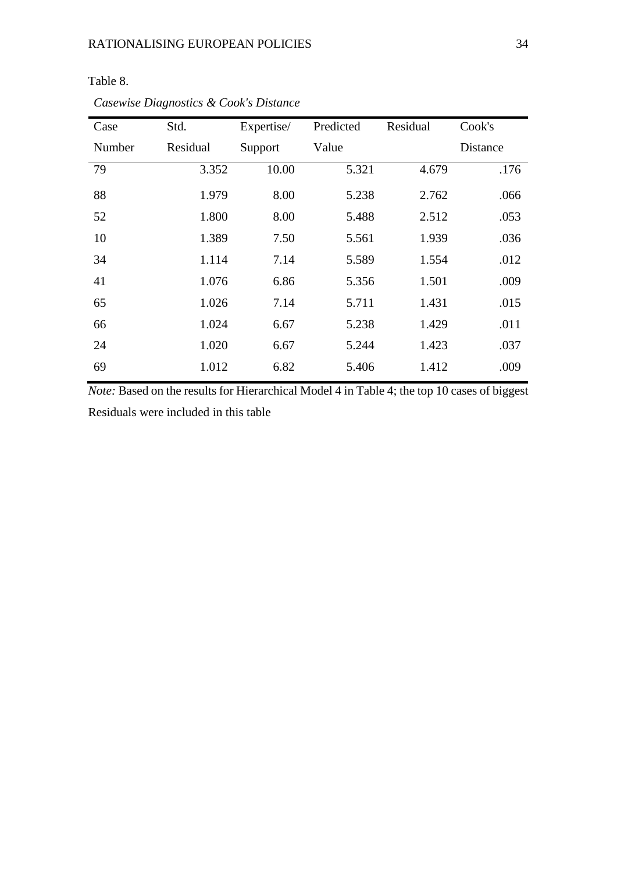| Case   | Std.     | Expertise/ | Predicted | Residual | Cook's   |
|--------|----------|------------|-----------|----------|----------|
| Number | Residual | Support    | Value     |          | Distance |
| 79     | 3.352    | 10.00      | 5.321     | 4.679    | .176     |
| 88     | 1.979    | 8.00       | 5.238     | 2.762    | .066     |
| 52     | 1.800    | 8.00       | 5.488     | 2.512    | .053     |
| 10     | 1.389    | 7.50       | 5.561     | 1.939    | .036     |
| 34     | 1.114    | 7.14       | 5.589     | 1.554    | .012     |
| 41     | 1.076    | 6.86       | 5.356     | 1.501    | .009     |
| 65     | 1.026    | 7.14       | 5.711     | 1.431    | .015     |
| 66     | 1.024    | 6.67       | 5.238     | 1.429    | .011     |
| 24     | 1.020    | 6.67       | 5.244     | 1.423    | .037     |
| 69     | 1.012    | 6.82       | 5.406     | 1.412    | .009     |

*Casewise Diagnostics & Cook's Distance*

Table 8.

*Note:* Based on the results for Hierarchical Model 4 in Table 4; the top 10 cases of biggest Residuals were included in this table